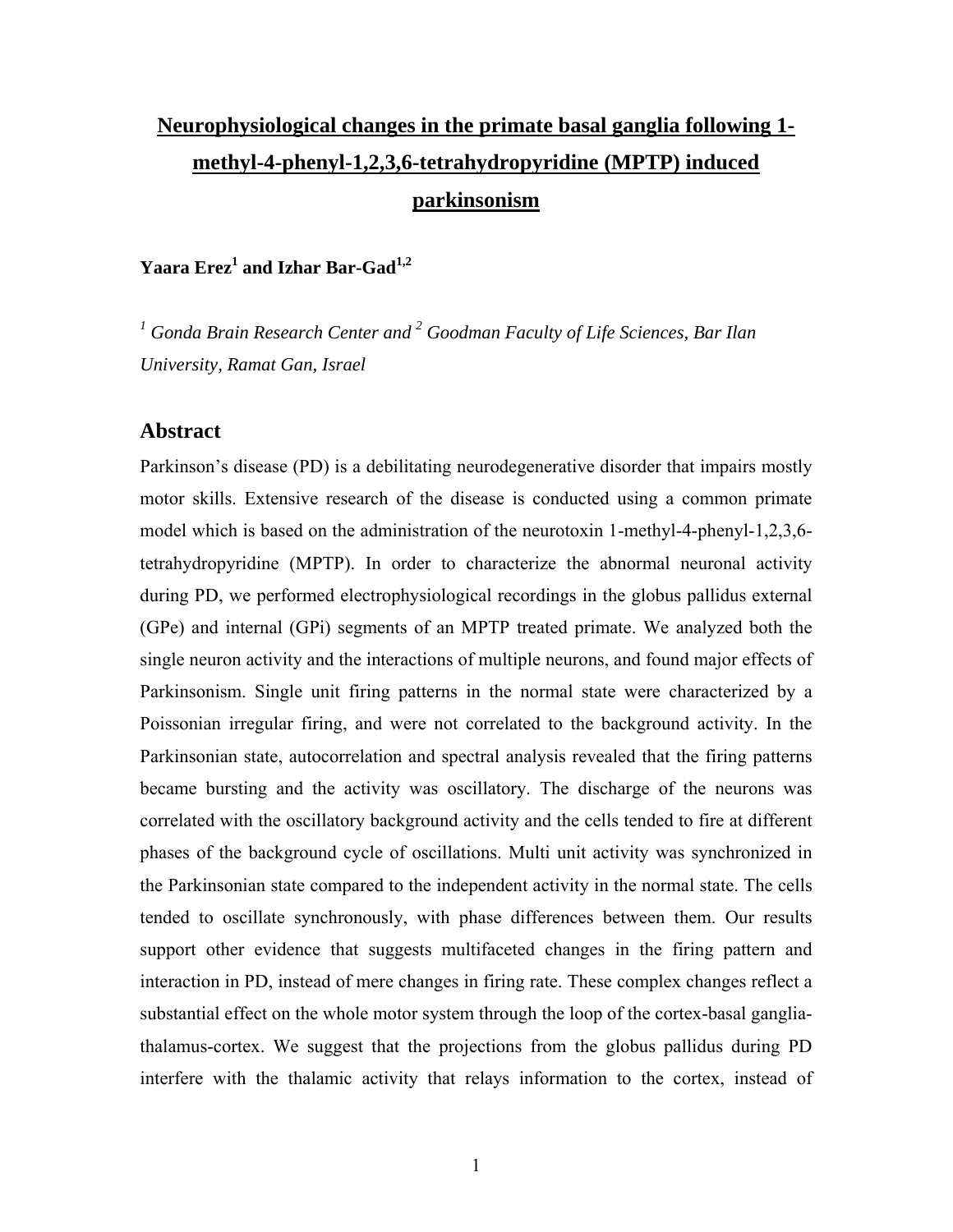# **Neurophysiological changes in the primate basal ganglia following 1 methyl-4-phenyl-1,2,3,6-tetrahydropyridine (MPTP) induced parkinsonism**

**Yaara Erez1 and Izhar Bar-Gad1,2** 

<sup>1</sup> Gonda Brain Research Center and <sup>2</sup> Goodman Faculty of Life Sciences, Bar Ilan *University, Ramat Gan, Israel* 

### **Abstract**

Parkinson's disease (PD) is a debilitating neurodegenerative disorder that impairs mostly motor skills. Extensive research of the disease is conducted using a common primate model which is based on the administration of the neurotoxin 1-methyl-4-phenyl-1,2,3,6 tetrahydropyridine (MPTP). In order to characterize the abnormal neuronal activity during PD, we performed electrophysiological recordings in the globus pallidus external (GPe) and internal (GPi) segments of an MPTP treated primate. We analyzed both the single neuron activity and the interactions of multiple neurons, and found major effects of Parkinsonism. Single unit firing patterns in the normal state were characterized by a Poissonian irregular firing, and were not correlated to the background activity. In the Parkinsonian state, autocorrelation and spectral analysis revealed that the firing patterns became bursting and the activity was oscillatory. The discharge of the neurons was correlated with the oscillatory background activity and the cells tended to fire at different phases of the background cycle of oscillations. Multi unit activity was synchronized in the Parkinsonian state compared to the independent activity in the normal state. The cells tended to oscillate synchronously, with phase differences between them. Our results support other evidence that suggests multifaceted changes in the firing pattern and interaction in PD, instead of mere changes in firing rate. These complex changes reflect a substantial effect on the whole motor system through the loop of the cortex-basal gangliathalamus-cortex. We suggest that the projections from the globus pallidus during PD interfere with the thalamic activity that relays information to the cortex, instead of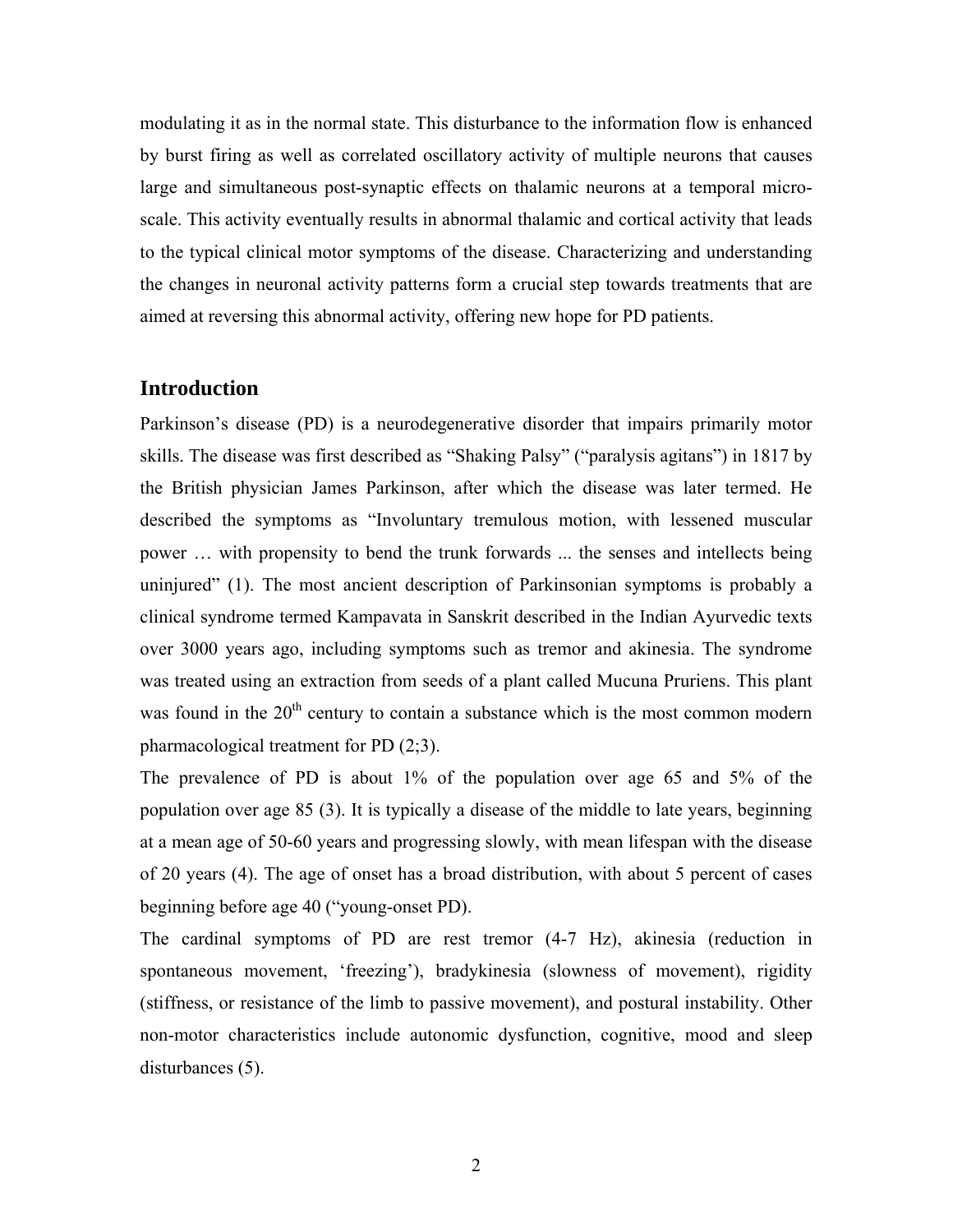modulating it as in the normal state. This disturbance to the information flow is enhanced by burst firing as well as correlated oscillatory activity of multiple neurons that causes large and simultaneous post-synaptic effects on thalamic neurons at a temporal microscale. This activity eventually results in abnormal thalamic and cortical activity that leads to the typical clinical motor symptoms of the disease. Characterizing and understanding the changes in neuronal activity patterns form a crucial step towards treatments that are aimed at reversing this abnormal activity, offering new hope for PD patients.

## **Introduction**

Parkinson's disease (PD) is a neurodegenerative disorder that impairs primarily motor skills. The disease was first described as "Shaking Palsy" ("paralysis agitans") in 1817 by the British physician James Parkinson, after which the disease was later termed. He described the symptoms as "Involuntary tremulous motion, with lessened muscular power … with propensity to bend the trunk forwards ... the senses and intellects being uninjured" (1). The most ancient description of Parkinsonian symptoms is probably a clinical syndrome termed Kampavata in Sanskrit described in the Indian Ayurvedic texts over 3000 years ago, including symptoms such as tremor and akinesia. The syndrome was treated using an extraction from seeds of a plant called Mucuna Pruriens. This plant was found in the  $20<sup>th</sup>$  century to contain a substance which is the most common modern pharmacological treatment for PD (2;3).

The prevalence of PD is about 1% of the population over age 65 and 5% of the population over age 85 (3). It is typically a disease of the middle to late years, beginning at a mean age of 50-60 years and progressing slowly, with mean lifespan with the disease of 20 years (4). The age of onset has a broad distribution, with about 5 percent of cases beginning before age 40 ("young-onset PD).

The cardinal symptoms of PD are rest tremor (4-7 Hz), akinesia (reduction in spontaneous movement, 'freezing'), bradykinesia (slowness of movement), rigidity (stiffness, or resistance of the limb to passive movement), and postural instability. Other non-motor characteristics include autonomic dysfunction, cognitive, mood and sleep disturbances (5).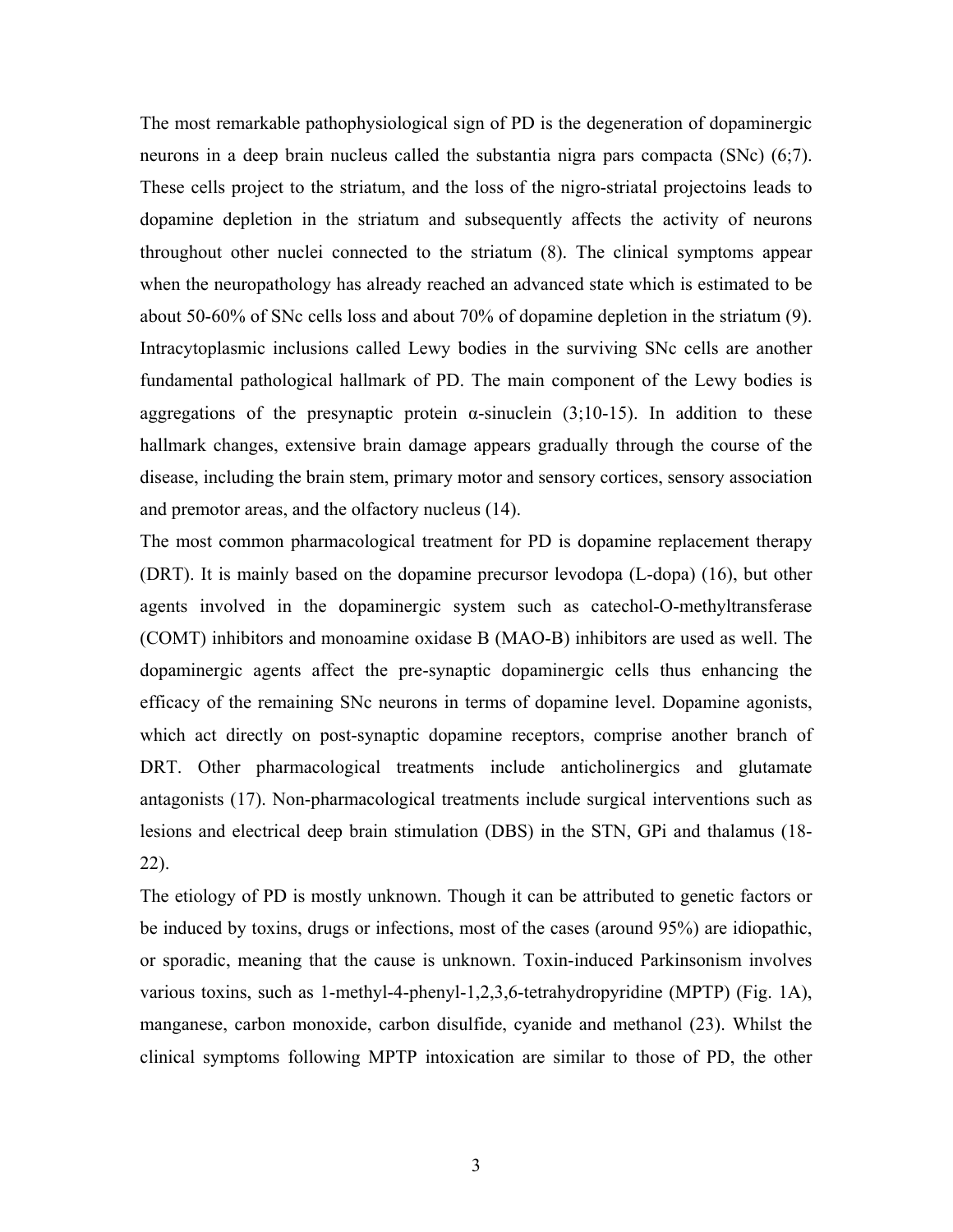The most remarkable pathophysiological sign of PD is the degeneration of dopaminergic neurons in a deep brain nucleus called the substantia nigra pars compacta (SNc) (6;7). These cells project to the striatum, and the loss of the nigro-striatal projectoins leads to dopamine depletion in the striatum and subsequently affects the activity of neurons throughout other nuclei connected to the striatum (8). The clinical symptoms appear when the neuropathology has already reached an advanced state which is estimated to be about 50-60% of SNc cells loss and about 70% of dopamine depletion in the striatum (9). Intracytoplasmic inclusions called Lewy bodies in the surviving SNc cells are another fundamental pathological hallmark of PD. The main component of the Lewy bodies is aggregations of the presynaptic protein  $\alpha$ -sinuclein (3:10-15). In addition to these hallmark changes, extensive brain damage appears gradually through the course of the disease, including the brain stem, primary motor and sensory cortices, sensory association and premotor areas, and the olfactory nucleus (14).

The most common pharmacological treatment for PD is dopamine replacement therapy (DRT). It is mainly based on the dopamine precursor levodopa (L-dopa) (16), but other agents involved in the dopaminergic system such as catechol-O-methyltransferase (COMT) inhibitors and monoamine oxidase B (MAO-B) inhibitors are used as well. The dopaminergic agents affect the pre-synaptic dopaminergic cells thus enhancing the efficacy of the remaining SNc neurons in terms of dopamine level. Dopamine agonists, which act directly on post-synaptic dopamine receptors, comprise another branch of DRT. Other pharmacological treatments include anticholinergics and glutamate antagonists (17). Non-pharmacological treatments include surgical interventions such as lesions and electrical deep brain stimulation (DBS) in the STN, GPi and thalamus (18- 22).

The etiology of PD is mostly unknown. Though it can be attributed to genetic factors or be induced by toxins, drugs or infections, most of the cases (around 95%) are idiopathic, or sporadic, meaning that the cause is unknown. Toxin-induced Parkinsonism involves various toxins, such as 1-methyl-4-phenyl-1,2,3,6-tetrahydropyridine (MPTP) (Fig. 1A), manganese, carbon monoxide, carbon disulfide, cyanide and methanol (23). Whilst the clinical symptoms following MPTP intoxication are similar to those of PD, the other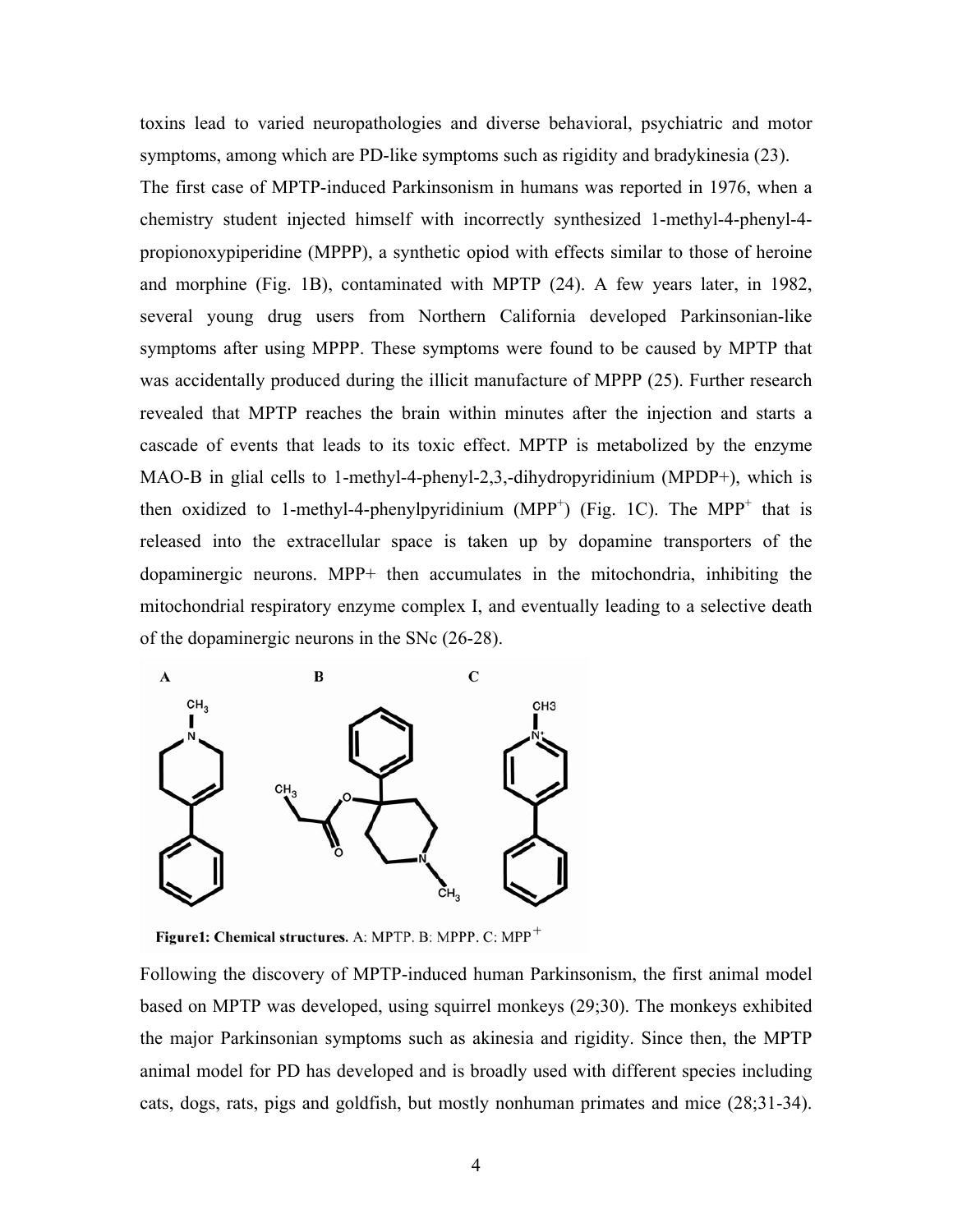toxins lead to varied neuropathologies and diverse behavioral, psychiatric and motor symptoms, among which are PD-like symptoms such as rigidity and bradykinesia (23). The first case of MPTP-induced Parkinsonism in humans was reported in 1976, when a chemistry student injected himself with incorrectly synthesized 1-methyl-4-phenyl-4 propionoxypiperidine (MPPP), a synthetic opiod with effects similar to those of heroine and morphine (Fig. 1B), contaminated with MPTP (24). A few years later, in 1982, several young drug users from Northern California developed Parkinsonian-like symptoms after using MPPP. These symptoms were found to be caused by MPTP that was accidentally produced during the illicit manufacture of MPPP (25). Further research revealed that MPTP reaches the brain within minutes after the injection and starts a cascade of events that leads to its toxic effect. MPTP is metabolized by the enzyme MAO-B in glial cells to 1-methyl-4-phenyl-2,3,-dihydropyridinium (MPDP+), which is then oxidized to 1-methyl-4-phenylpyridinium (MPP<sup>+</sup>) (Fig. 1C). The MPP<sup>+</sup> that is released into the extracellular space is taken up by dopamine transporters of the dopaminergic neurons. MPP+ then accumulates in the mitochondria, inhibiting the mitochondrial respiratory enzyme complex I, and eventually leading to a selective death of the dopaminergic neurons in the SNc (26-28).



Figure1: Chemical structures. A: MPTP. B: MPPP. C: MPP<sup>+</sup>

Following the discovery of MPTP-induced human Parkinsonism, the first animal model based on MPTP was developed, using squirrel monkeys (29;30). The monkeys exhibited the major Parkinsonian symptoms such as akinesia and rigidity. Since then, the MPTP animal model for PD has developed and is broadly used with different species including cats, dogs, rats, pigs and goldfish, but mostly nonhuman primates and mice (28;31-34).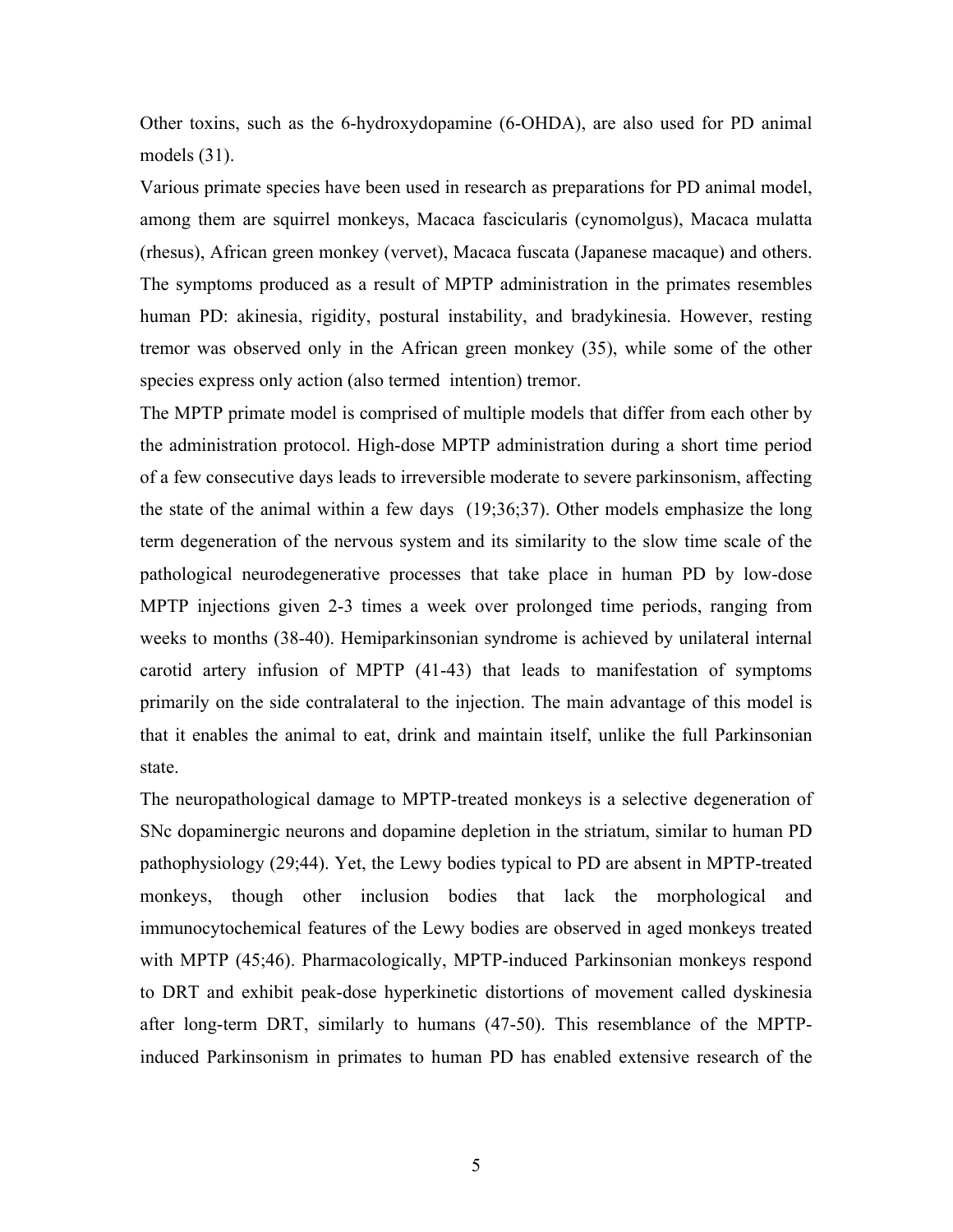Other toxins, such as the 6-hydroxydopamine (6-OHDA), are also used for PD animal models (31).

Various primate species have been used in research as preparations for PD animal model, among them are squirrel monkeys, Macaca fascicularis (cynomolgus), Macaca mulatta (rhesus), African green monkey (vervet), Macaca fuscata (Japanese macaque) and others. The symptoms produced as a result of MPTP administration in the primates resembles human PD: akinesia, rigidity, postural instability, and bradykinesia. However, resting tremor was observed only in the African green monkey (35), while some of the other species express only action (also termed intention) tremor.

The MPTP primate model is comprised of multiple models that differ from each other by the administration protocol. High-dose MPTP administration during a short time period of a few consecutive days leads to irreversible moderate to severe parkinsonism, affecting the state of the animal within a few days (19;36;37). Other models emphasize the long term degeneration of the nervous system and its similarity to the slow time scale of the pathological neurodegenerative processes that take place in human PD by low-dose MPTP injections given 2-3 times a week over prolonged time periods, ranging from weeks to months (38-40). Hemiparkinsonian syndrome is achieved by unilateral internal carotid artery infusion of MPTP (41-43) that leads to manifestation of symptoms primarily on the side contralateral to the injection. The main advantage of this model is that it enables the animal to eat, drink and maintain itself, unlike the full Parkinsonian state.

The neuropathological damage to MPTP-treated monkeys is a selective degeneration of SNc dopaminergic neurons and dopamine depletion in the striatum, similar to human PD pathophysiology (29;44). Yet, the Lewy bodies typical to PD are absent in MPTP-treated monkeys, though other inclusion bodies that lack the morphological and immunocytochemical features of the Lewy bodies are observed in aged monkeys treated with MPTP (45;46). Pharmacologically, MPTP-induced Parkinsonian monkeys respond to DRT and exhibit peak-dose hyperkinetic distortions of movement called dyskinesia after long-term DRT, similarly to humans (47-50). This resemblance of the MPTPinduced Parkinsonism in primates to human PD has enabled extensive research of the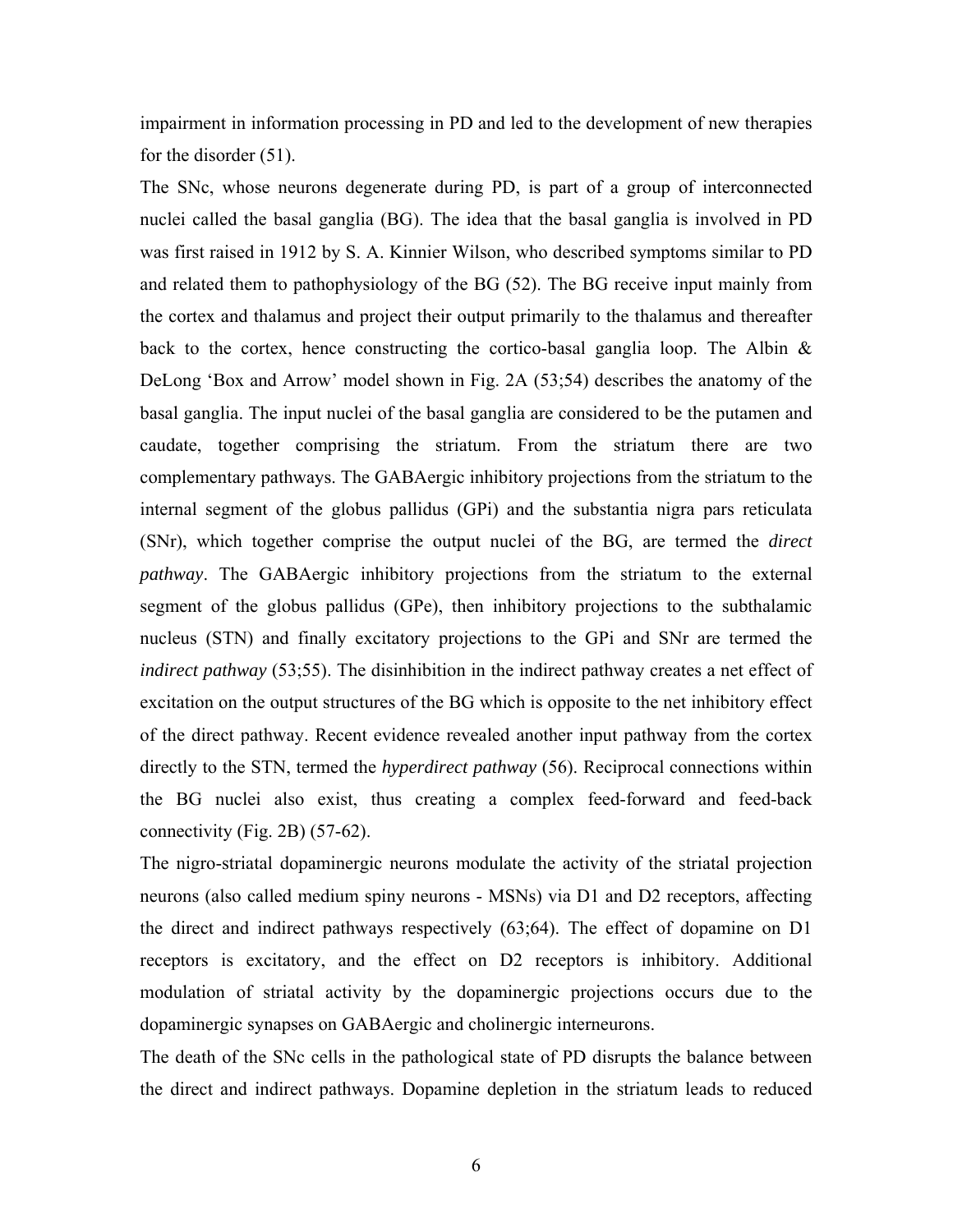impairment in information processing in PD and led to the development of new therapies for the disorder (51).

The SNc, whose neurons degenerate during PD, is part of a group of interconnected nuclei called the basal ganglia (BG). The idea that the basal ganglia is involved in PD was first raised in 1912 by S. A. Kinnier Wilson, who described symptoms similar to PD and related them to pathophysiology of the BG (52). The BG receive input mainly from the cortex and thalamus and project their output primarily to the thalamus and thereafter back to the cortex, hence constructing the cortico-basal ganglia loop. The Albin & DeLong 'Box and Arrow' model shown in Fig. 2A (53;54) describes the anatomy of the basal ganglia. The input nuclei of the basal ganglia are considered to be the putamen and caudate, together comprising the striatum. From the striatum there are two complementary pathways. The GABAergic inhibitory projections from the striatum to the internal segment of the globus pallidus (GPi) and the substantia nigra pars reticulata (SNr), which together comprise the output nuclei of the BG, are termed the *direct pathway*. The GABAergic inhibitory projections from the striatum to the external segment of the globus pallidus (GPe), then inhibitory projections to the subthalamic nucleus (STN) and finally excitatory projections to the GPi and SNr are termed the *indirect pathway* (53;55). The disinhibition in the indirect pathway creates a net effect of excitation on the output structures of the BG which is opposite to the net inhibitory effect of the direct pathway. Recent evidence revealed another input pathway from the cortex directly to the STN, termed the *hyperdirect pathway* (56). Reciprocal connections within the BG nuclei also exist, thus creating a complex feed-forward and feed-back connectivity (Fig. 2B) (57-62).

The nigro-striatal dopaminergic neurons modulate the activity of the striatal projection neurons (also called medium spiny neurons - MSNs) via D1 and D2 receptors, affecting the direct and indirect pathways respectively (63;64). The effect of dopamine on D1 receptors is excitatory, and the effect on D2 receptors is inhibitory. Additional modulation of striatal activity by the dopaminergic projections occurs due to the dopaminergic synapses on GABAergic and cholinergic interneurons.

The death of the SNc cells in the pathological state of PD disrupts the balance between the direct and indirect pathways. Dopamine depletion in the striatum leads to reduced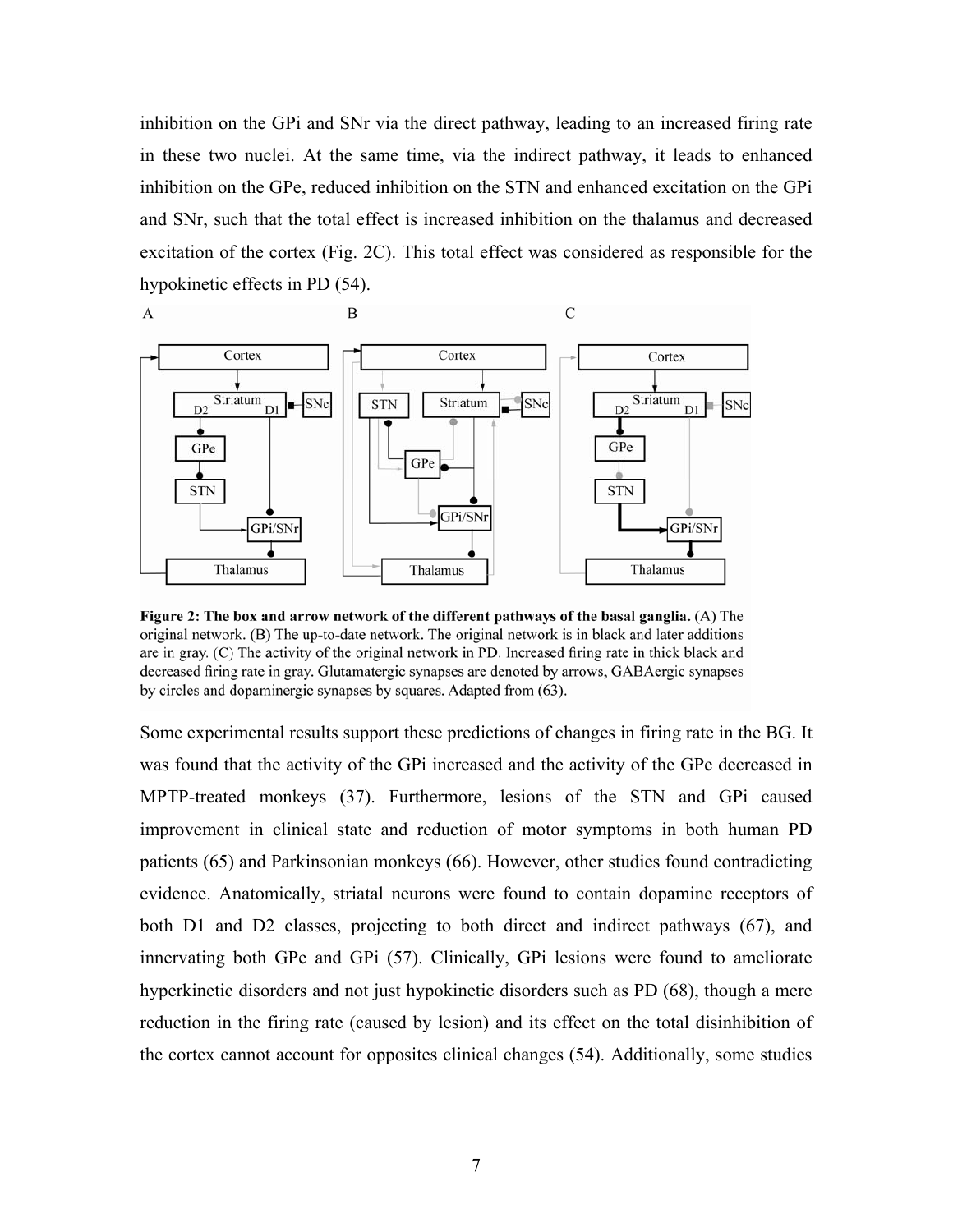inhibition on the GPi and SNr via the direct pathway, leading to an increased firing rate in these two nuclei. At the same time, via the indirect pathway, it leads to enhanced inhibition on the GPe, reduced inhibition on the STN and enhanced excitation on the GPi and SNr, such that the total effect is increased inhibition on the thalamus and decreased excitation of the cortex (Fig. 2C). This total effect was considered as responsible for the hypokinetic effects in PD (54).



Figure 2: The box and arrow network of the different pathways of the basal ganglia. (A) The original network. (B) The up-to-date network. The original network is in black and later additions are in gray. (C) The activity of the original network in PD. Increased firing rate in thick black and decreased firing rate in gray. Glutamatergic synapses are denoted by arrows, GABAergic synapses by circles and dopaminergic synapses by squares. Adapted from (63).

Some experimental results support these predictions of changes in firing rate in the BG. It was found that the activity of the GPi increased and the activity of the GPe decreased in MPTP-treated monkeys (37). Furthermore, lesions of the STN and GPi caused improvement in clinical state and reduction of motor symptoms in both human PD patients (65) and Parkinsonian monkeys (66). However, other studies found contradicting evidence. Anatomically, striatal neurons were found to contain dopamine receptors of both D1 and D2 classes, projecting to both direct and indirect pathways (67), and innervating both GPe and GPi (57). Clinically, GPi lesions were found to ameliorate hyperkinetic disorders and not just hypokinetic disorders such as PD (68), though a mere reduction in the firing rate (caused by lesion) and its effect on the total disinhibition of the cortex cannot account for opposites clinical changes (54). Additionally, some studies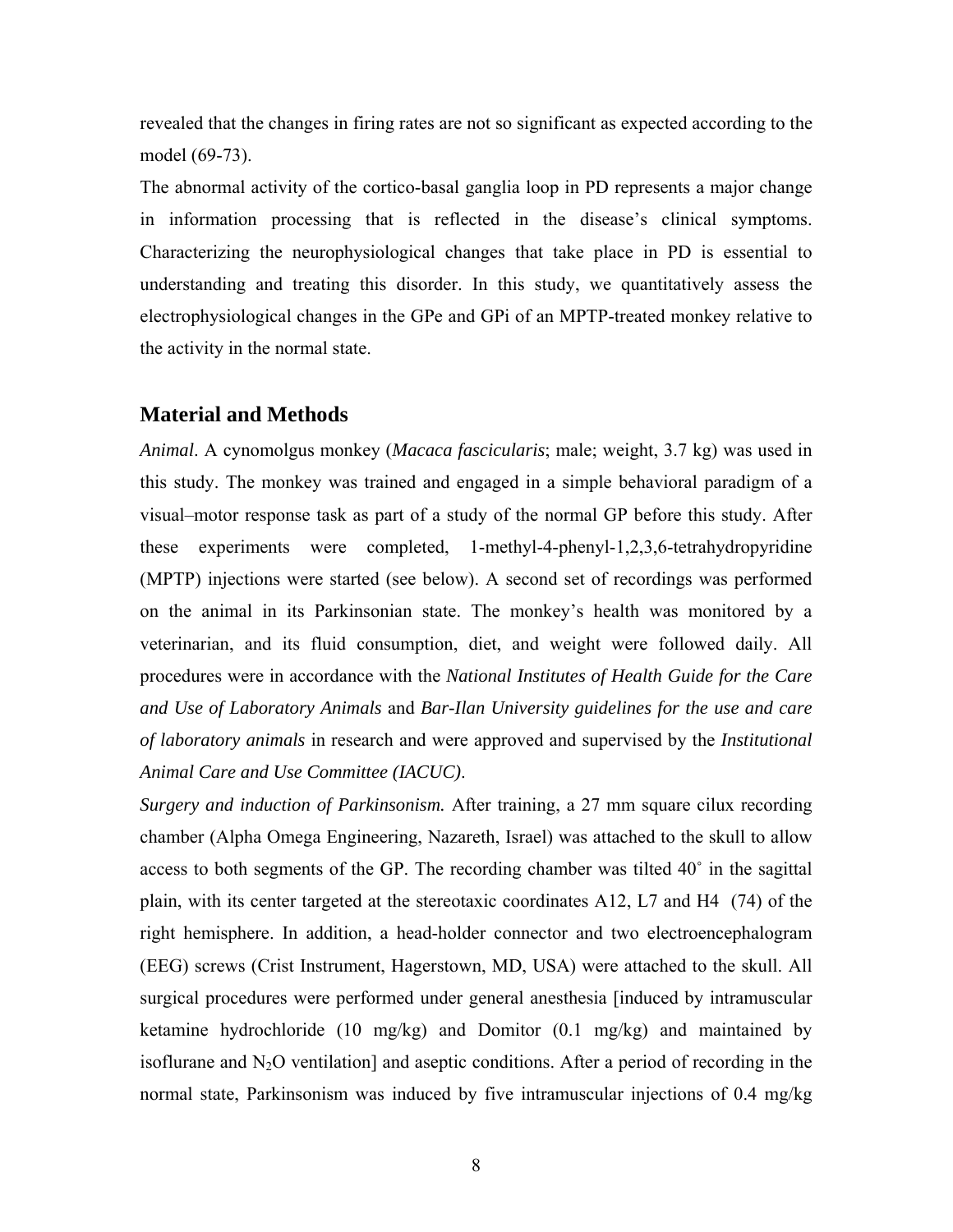revealed that the changes in firing rates are not so significant as expected according to the model (69-73).

The abnormal activity of the cortico-basal ganglia loop in PD represents a major change in information processing that is reflected in the disease's clinical symptoms. Characterizing the neurophysiological changes that take place in PD is essential to understanding and treating this disorder. In this study, we quantitatively assess the electrophysiological changes in the GPe and GPi of an MPTP-treated monkey relative to the activity in the normal state.

#### **Material and Methods**

*Animal*. A cynomolgus monkey (*Macaca fascicularis*; male; weight, 3.7 kg) was used in this study. The monkey was trained and engaged in a simple behavioral paradigm of a visual–motor response task as part of a study of the normal GP before this study. After these experiments were completed, 1-methyl-4-phenyl-1,2,3,6-tetrahydropyridine (MPTP) injections were started (see below). A second set of recordings was performed on the animal in its Parkinsonian state. The monkey's health was monitored by a veterinarian, and its fluid consumption, diet, and weight were followed daily. All procedures were in accordance with the *National Institutes of Health Guide for the Care and Use of Laboratory Animals* and *Bar-Ilan University guidelines for the use and care of laboratory animals* in research and were approved and supervised by the *Institutional Animal Care and Use Committee (IACUC)*.

*Surgery and induction of Parkinsonism.* After training, a 27 mm square cilux recording chamber (Alpha Omega Engineering, Nazareth, Israel) was attached to the skull to allow access to both segments of the GP. The recording chamber was tilted 40˚ in the sagittal plain, with its center targeted at the stereotaxic coordinates A12, L7 and H4 (74) of the right hemisphere. In addition, a head-holder connector and two electroencephalogram (EEG) screws (Crist Instrument, Hagerstown, MD, USA) were attached to the skull. All surgical procedures were performed under general anesthesia [induced by intramuscular ketamine hydrochloride (10 mg/kg) and Domitor (0.1 mg/kg) and maintained by isoflurane and  $N_2O$  ventilation] and aseptic conditions. After a period of recording in the normal state, Parkinsonism was induced by five intramuscular injections of 0.4 mg/kg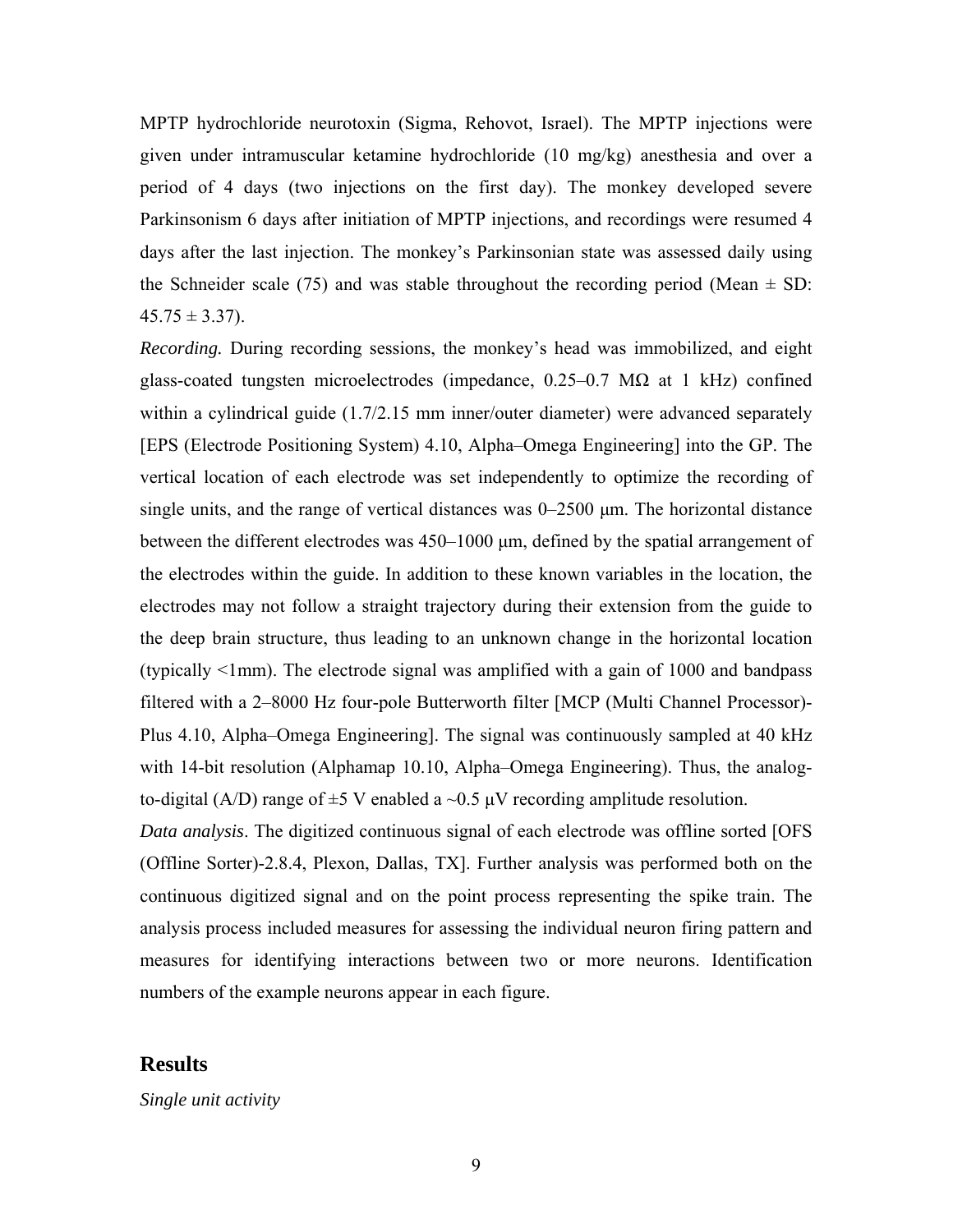MPTP hydrochloride neurotoxin (Sigma, Rehovot, Israel). The MPTP injections were given under intramuscular ketamine hydrochloride (10 mg/kg) anesthesia and over a period of 4 days (two injections on the first day). The monkey developed severe Parkinsonism 6 days after initiation of MPTP injections, and recordings were resumed 4 days after the last injection. The monkey's Parkinsonian state was assessed daily using the Schneider scale (75) and was stable throughout the recording period (Mean  $\pm$  SD:  $45.75 \pm 3.37$ ).

*Recording.* During recording sessions, the monkey's head was immobilized, and eight glass-coated tungsten microelectrodes (impedance,  $0.25-0.7$  M $\Omega$  at 1 kHz) confined within a cylindrical guide  $(1.7/2.15 \text{ mm inner/outer diameter})$  were advanced separately [EPS (Electrode Positioning System) 4.10, Alpha–Omega Engineering] into the GP. The vertical location of each electrode was set independently to optimize the recording of single units, and the range of vertical distances was  $0-2500$  µm. The horizontal distance between the different electrodes was 450–1000 µm, defined by the spatial arrangement of the electrodes within the guide. In addition to these known variables in the location, the electrodes may not follow a straight trajectory during their extension from the guide to the deep brain structure, thus leading to an unknown change in the horizontal location (typically <1mm). The electrode signal was amplified with a gain of 1000 and bandpass filtered with a 2–8000 Hz four-pole Butterworth filter [MCP (Multi Channel Processor)- Plus 4.10, Alpha–Omega Engineering]. The signal was continuously sampled at 40 kHz with 14-bit resolution (Alphamap 10.10, Alpha–Omega Engineering). Thus, the analogto-digital (A/D) range of  $\pm$ 5 V enabled a ~0.5  $\mu$ V recording amplitude resolution.

*Data analysis*. The digitized continuous signal of each electrode was offline sorted [OFS (Offline Sorter)-2.8.4, Plexon, Dallas, TX]. Further analysis was performed both on the continuous digitized signal and on the point process representing the spike train. The analysis process included measures for assessing the individual neuron firing pattern and measures for identifying interactions between two or more neurons. Identification numbers of the example neurons appear in each figure.

#### **Results**

*Single unit activity*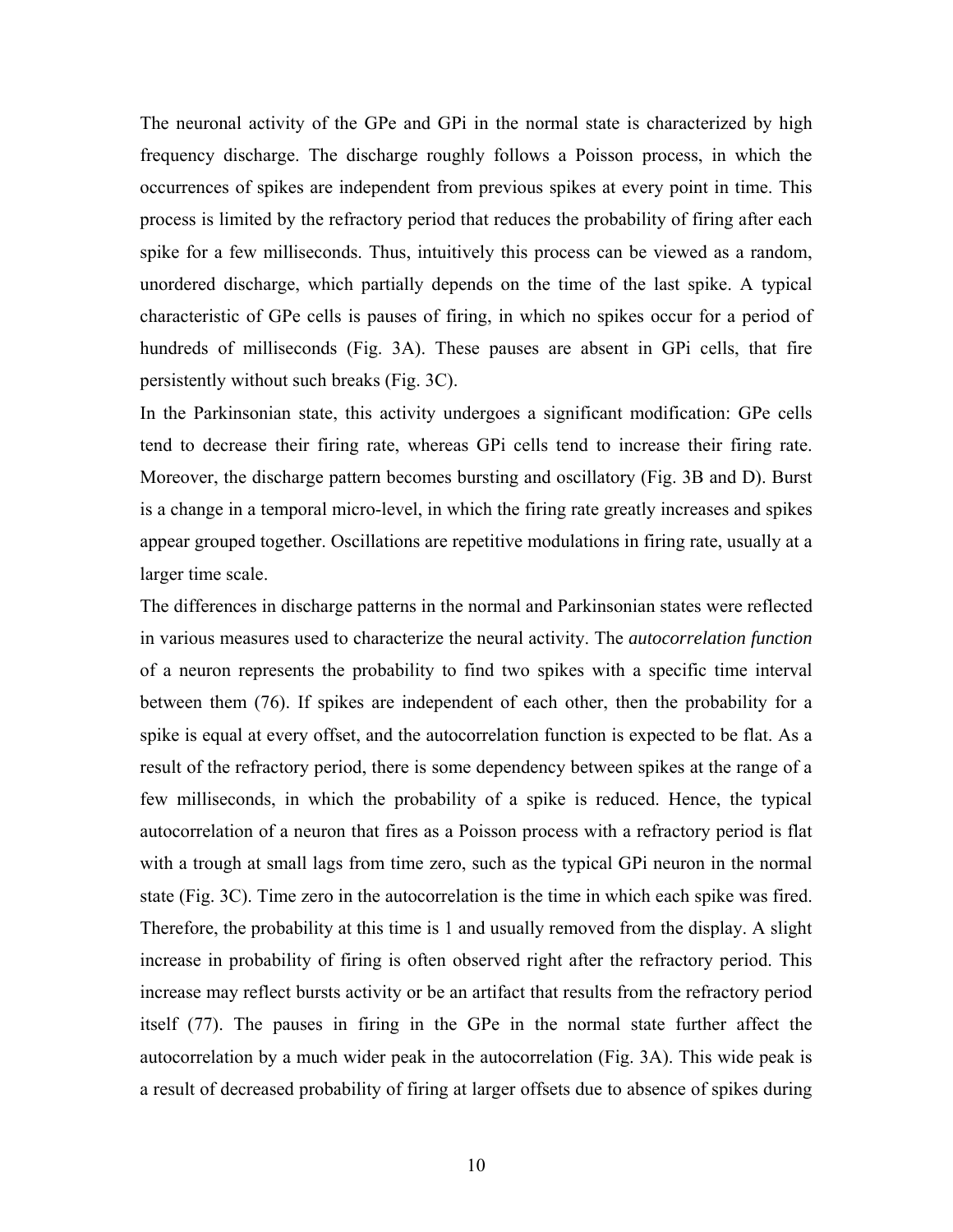The neuronal activity of the GPe and GPi in the normal state is characterized by high frequency discharge. The discharge roughly follows a Poisson process, in which the occurrences of spikes are independent from previous spikes at every point in time. This process is limited by the refractory period that reduces the probability of firing after each spike for a few milliseconds. Thus, intuitively this process can be viewed as a random, unordered discharge, which partially depends on the time of the last spike. A typical characteristic of GPe cells is pauses of firing, in which no spikes occur for a period of hundreds of milliseconds (Fig. 3A). These pauses are absent in GPi cells, that fire persistently without such breaks (Fig. 3C).

In the Parkinsonian state, this activity undergoes a significant modification: GPe cells tend to decrease their firing rate, whereas GPi cells tend to increase their firing rate. Moreover, the discharge pattern becomes bursting and oscillatory (Fig. 3B and D). Burst is a change in a temporal micro-level, in which the firing rate greatly increases and spikes appear grouped together. Oscillations are repetitive modulations in firing rate, usually at a larger time scale.

The differences in discharge patterns in the normal and Parkinsonian states were reflected in various measures used to characterize the neural activity. The *autocorrelation function* of a neuron represents the probability to find two spikes with a specific time interval between them (76). If spikes are independent of each other, then the probability for a spike is equal at every offset, and the autocorrelation function is expected to be flat. As a result of the refractory period, there is some dependency between spikes at the range of a few milliseconds, in which the probability of a spike is reduced. Hence, the typical autocorrelation of a neuron that fires as a Poisson process with a refractory period is flat with a trough at small lags from time zero, such as the typical GPi neuron in the normal state (Fig. 3C). Time zero in the autocorrelation is the time in which each spike was fired. Therefore, the probability at this time is 1 and usually removed from the display. A slight increase in probability of firing is often observed right after the refractory period. This increase may reflect bursts activity or be an artifact that results from the refractory period itself (77). The pauses in firing in the GPe in the normal state further affect the autocorrelation by a much wider peak in the autocorrelation (Fig. 3A). This wide peak is a result of decreased probability of firing at larger offsets due to absence of spikes during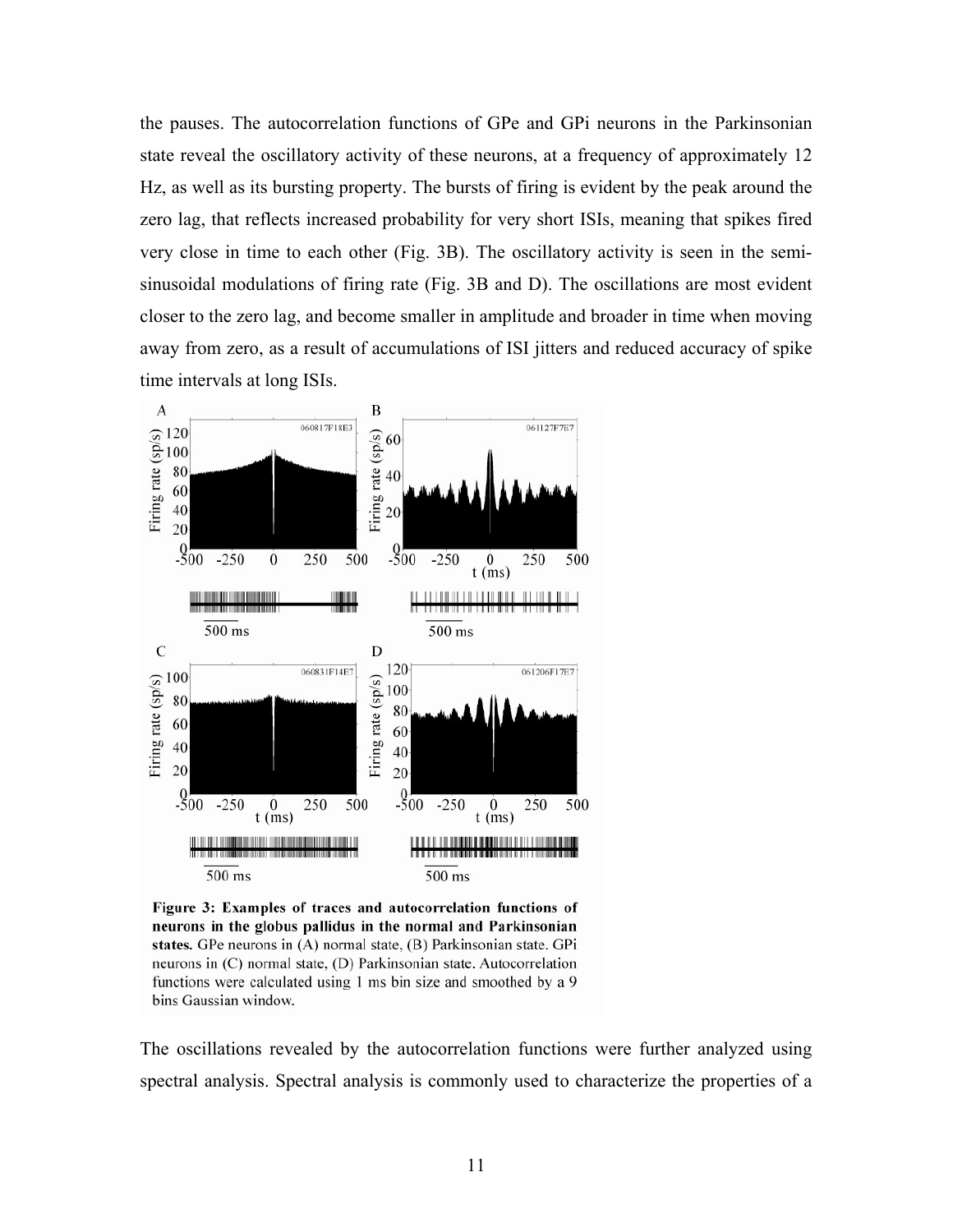the pauses. The autocorrelation functions of GPe and GPi neurons in the Parkinsonian state reveal the oscillatory activity of these neurons, at a frequency of approximately 12 Hz, as well as its bursting property. The bursts of firing is evident by the peak around the zero lag, that reflects increased probability for very short ISIs, meaning that spikes fired very close in time to each other (Fig. 3B). The oscillatory activity is seen in the semisinusoidal modulations of firing rate (Fig. 3B and D). The oscillations are most evident closer to the zero lag, and become smaller in amplitude and broader in time when moving away from zero, as a result of accumulations of ISI jitters and reduced accuracy of spike time intervals at long ISIs.



Figure 3: Examples of traces and autocorrelation functions of neurons in the globus pallidus in the normal and Parkinsonian states. GPe neurons in (A) normal state, (B) Parkinsonian state. GPi neurons in (C) normal state, (D) Parkinsonian state. Autocorrelation functions were calculated using 1 ms bin size and smoothed by a 9 bins Gaussian window.

The oscillations revealed by the autocorrelation functions were further analyzed using spectral analysis. Spectral analysis is commonly used to characterize the properties of a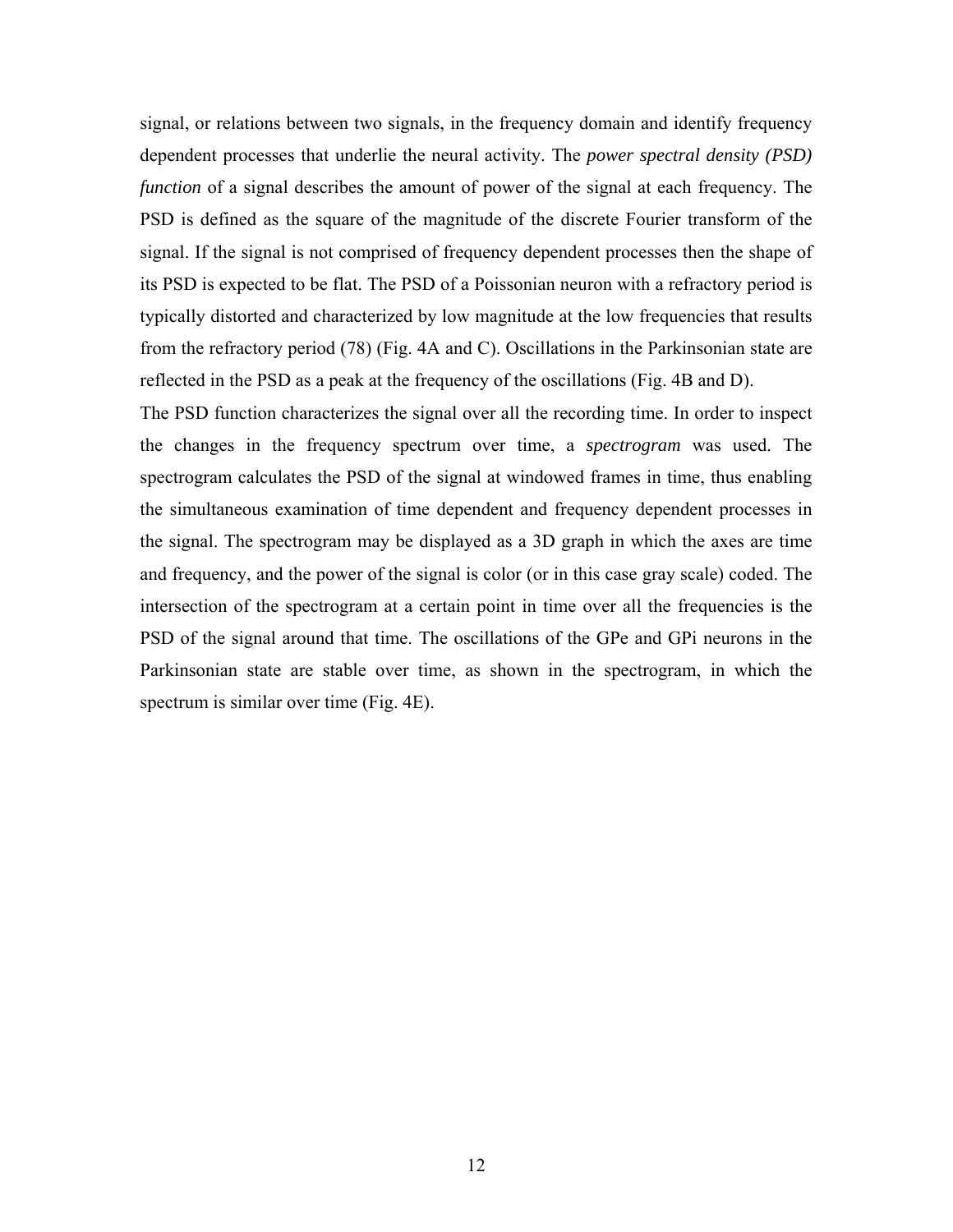signal, or relations between two signals, in the frequency domain and identify frequency dependent processes that underlie the neural activity. The *power spectral density (PSD) function* of a signal describes the amount of power of the signal at each frequency. The PSD is defined as the square of the magnitude of the discrete Fourier transform of the signal. If the signal is not comprised of frequency dependent processes then the shape of its PSD is expected to be flat. The PSD of a Poissonian neuron with a refractory period is typically distorted and characterized by low magnitude at the low frequencies that results from the refractory period (78) (Fig. 4A and C). Oscillations in the Parkinsonian state are reflected in the PSD as a peak at the frequency of the oscillations (Fig. 4B and D).

The PSD function characterizes the signal over all the recording time. In order to inspect the changes in the frequency spectrum over time, a *spectrogram* was used. The spectrogram calculates the PSD of the signal at windowed frames in time, thus enabling the simultaneous examination of time dependent and frequency dependent processes in the signal. The spectrogram may be displayed as a 3D graph in which the axes are time and frequency, and the power of the signal is color (or in this case gray scale) coded. The intersection of the spectrogram at a certain point in time over all the frequencies is the PSD of the signal around that time. The oscillations of the GPe and GPi neurons in the Parkinsonian state are stable over time, as shown in the spectrogram, in which the spectrum is similar over time (Fig. 4E).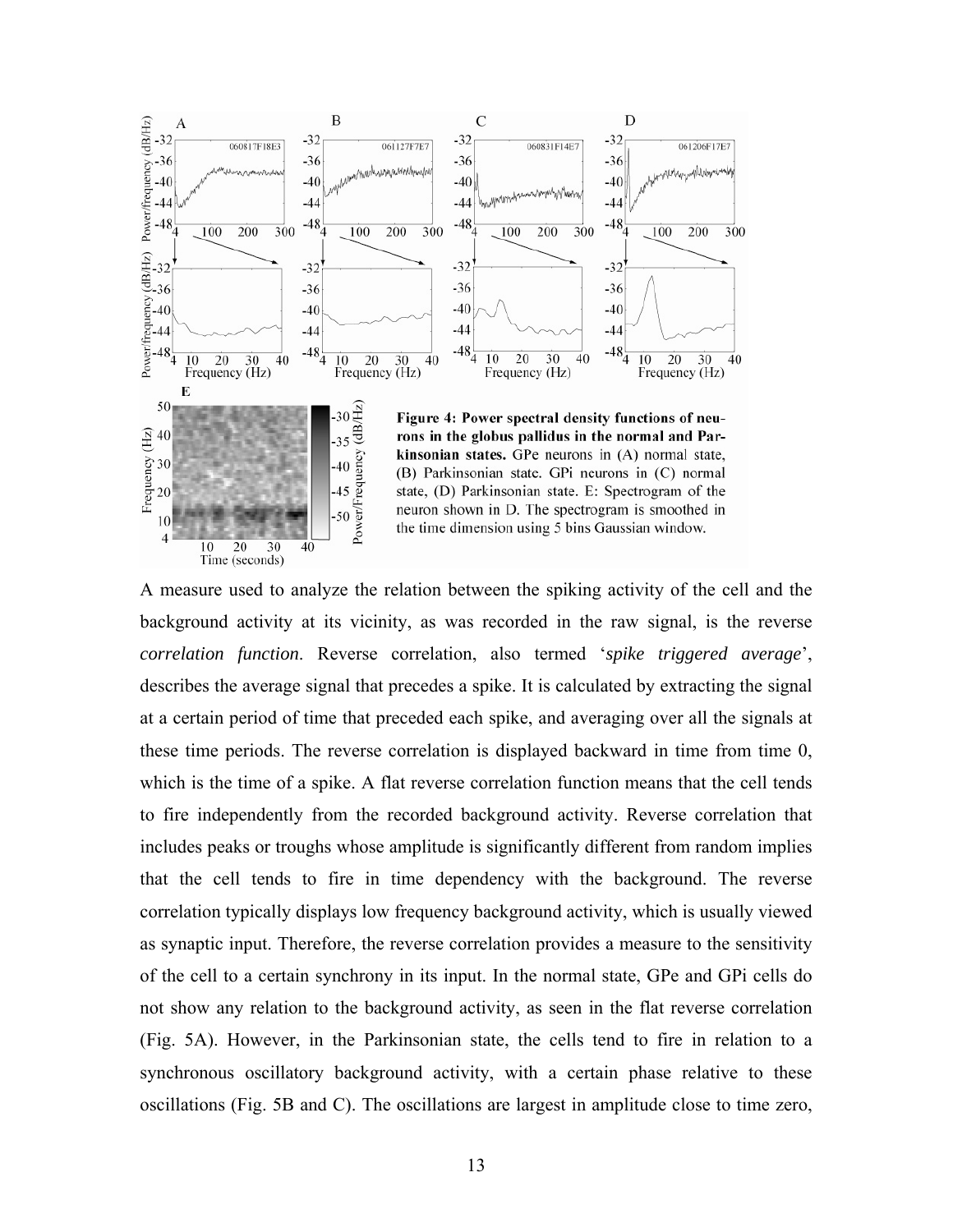

A measure used to analyze the relation between the spiking activity of the cell and the background activity at its vicinity, as was recorded in the raw signal, is the reverse *correlation function*. Reverse correlation, also termed '*spike triggered average*', describes the average signal that precedes a spike. It is calculated by extracting the signal at a certain period of time that preceded each spike, and averaging over all the signals at these time periods. The reverse correlation is displayed backward in time from time 0, which is the time of a spike. A flat reverse correlation function means that the cell tends to fire independently from the recorded background activity. Reverse correlation that includes peaks or troughs whose amplitude is significantly different from random implies that the cell tends to fire in time dependency with the background. The reverse correlation typically displays low frequency background activity, which is usually viewed as synaptic input. Therefore, the reverse correlation provides a measure to the sensitivity of the cell to a certain synchrony in its input. In the normal state, GPe and GPi cells do not show any relation to the background activity, as seen in the flat reverse correlation (Fig. 5A). However, in the Parkinsonian state, the cells tend to fire in relation to a synchronous oscillatory background activity, with a certain phase relative to these oscillations (Fig. 5B and C). The oscillations are largest in amplitude close to time zero,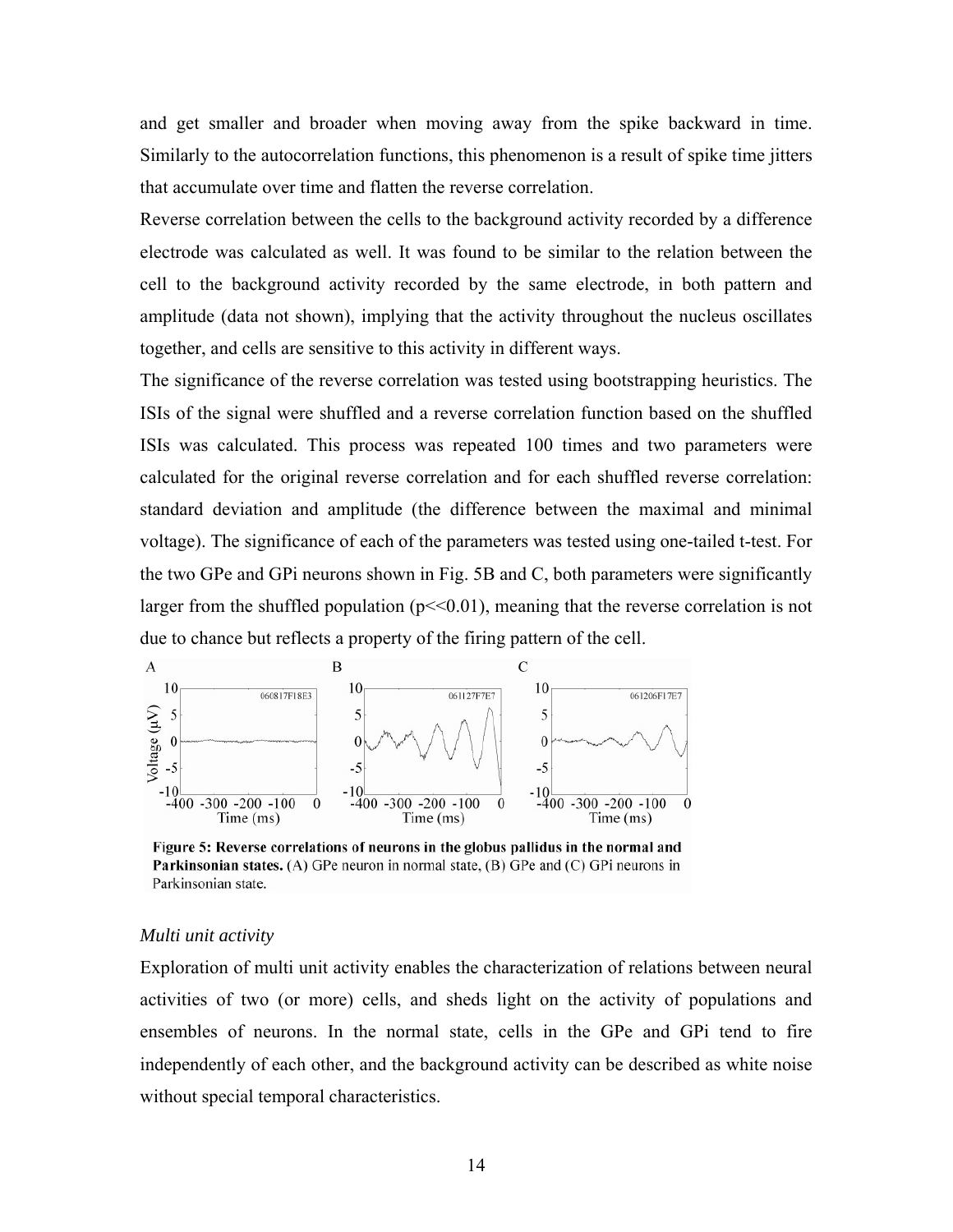and get smaller and broader when moving away from the spike backward in time. Similarly to the autocorrelation functions, this phenomenon is a result of spike time jitters that accumulate over time and flatten the reverse correlation.

Reverse correlation between the cells to the background activity recorded by a difference electrode was calculated as well. It was found to be similar to the relation between the cell to the background activity recorded by the same electrode, in both pattern and amplitude (data not shown), implying that the activity throughout the nucleus oscillates together, and cells are sensitive to this activity in different ways.

The significance of the reverse correlation was tested using bootstrapping heuristics. The ISIs of the signal were shuffled and a reverse correlation function based on the shuffled ISIs was calculated. This process was repeated 100 times and two parameters were calculated for the original reverse correlation and for each shuffled reverse correlation: standard deviation and amplitude (the difference between the maximal and minimal voltage). The significance of each of the parameters was tested using one-tailed t-test. For the two GPe and GPi neurons shown in Fig. 5B and C, both parameters were significantly larger from the shuffled population ( $p \ll 0.01$ ), meaning that the reverse correlation is not due to chance but reflects a property of the firing pattern of the cell.



Figure 5: Reverse correlations of neurons in the globus pallidus in the normal and Parkinsonian states. (A) GPe neuron in normal state, (B) GPe and (C) GPi neurons in Parkinsonian state.

#### *Multi unit activity*

Exploration of multi unit activity enables the characterization of relations between neural activities of two (or more) cells, and sheds light on the activity of populations and ensembles of neurons. In the normal state, cells in the GPe and GPi tend to fire independently of each other, and the background activity can be described as white noise without special temporal characteristics.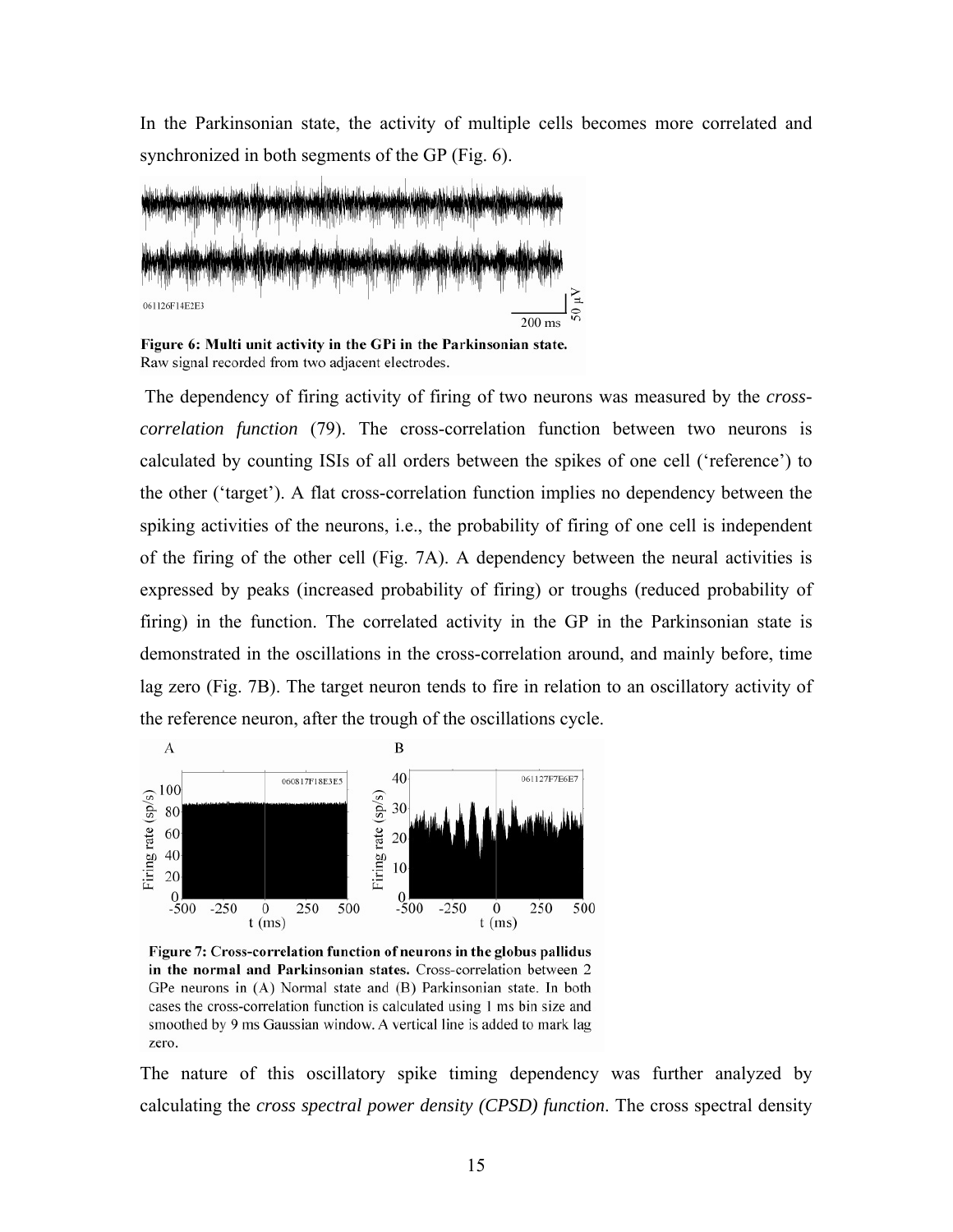In the Parkinsonian state, the activity of multiple cells becomes more correlated and synchronized in both segments of the GP (Fig. 6).



Figure 6: Multi unit activity in the GPi in the Parkinsonian state. Raw signal recorded from two adjacent electrodes.

 The dependency of firing activity of firing of two neurons was measured by the *crosscorrelation function* (79). The cross-correlation function between two neurons is calculated by counting ISIs of all orders between the spikes of one cell ('reference') to the other ('target'). A flat cross-correlation function implies no dependency between the spiking activities of the neurons, i.e., the probability of firing of one cell is independent of the firing of the other cell (Fig. 7A). A dependency between the neural activities is expressed by peaks (increased probability of firing) or troughs (reduced probability of firing) in the function. The correlated activity in the GP in the Parkinsonian state is demonstrated in the oscillations in the cross-correlation around, and mainly before, time lag zero (Fig. 7B). The target neuron tends to fire in relation to an oscillatory activity of the reference neuron, after the trough of the oscillations cycle.



Figure 7: Cross-correlation function of neurons in the globus pallidus in the normal and Parkinsonian states. Cross-correlation between 2 GPe neurons in (A) Normal state and (B) Parkinsonian state. In both cases the cross-correlation function is calculated using 1 ms bin size and smoothed by 9 ms Gaussian window. A vertical line is added to mark lag zero.

The nature of this oscillatory spike timing dependency was further analyzed by calculating the *cross spectral power density (CPSD) function*. The cross spectral density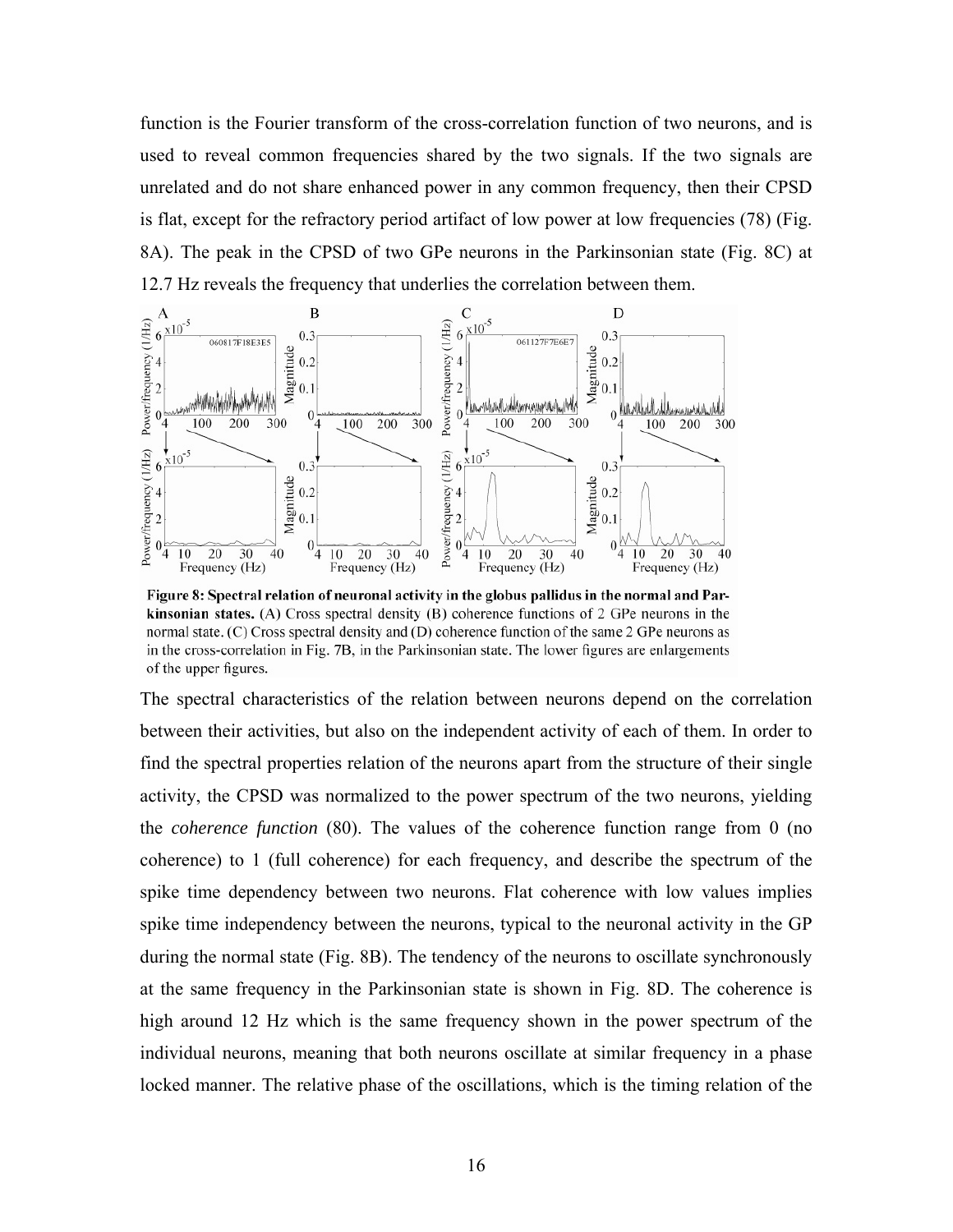function is the Fourier transform of the cross-correlation function of two neurons, and is used to reveal common frequencies shared by the two signals. If the two signals are unrelated and do not share enhanced power in any common frequency, then their CPSD is flat, except for the refractory period artifact of low power at low frequencies (78) (Fig. 8A). The peak in the CPSD of two GPe neurons in the Parkinsonian state (Fig. 8C) at 12.7 Hz reveals the frequency that underlies the correlation between them.



Figure 8: Spectral relation of neuronal activity in the globus pallidus in the normal and Par**kinsonian states.** (A) Cross spectral density  $(B)$  coherence functions of 2 GPe neurons in the normal state. (C) Cross spectral density and (D) coherence function of the same 2 GPe neurons as in the cross-correlation in Fig. 7B, in the Parkinsonian state. The lower figures are enlargements of the upper figures.

The spectral characteristics of the relation between neurons depend on the correlation between their activities, but also on the independent activity of each of them. In order to find the spectral properties relation of the neurons apart from the structure of their single activity, the CPSD was normalized to the power spectrum of the two neurons, yielding the *coherence function* (80). The values of the coherence function range from 0 (no coherence) to 1 (full coherence) for each frequency, and describe the spectrum of the spike time dependency between two neurons. Flat coherence with low values implies spike time independency between the neurons, typical to the neuronal activity in the GP during the normal state (Fig. 8B). The tendency of the neurons to oscillate synchronously at the same frequency in the Parkinsonian state is shown in Fig. 8D. The coherence is high around 12 Hz which is the same frequency shown in the power spectrum of the individual neurons, meaning that both neurons oscillate at similar frequency in a phase locked manner. The relative phase of the oscillations, which is the timing relation of the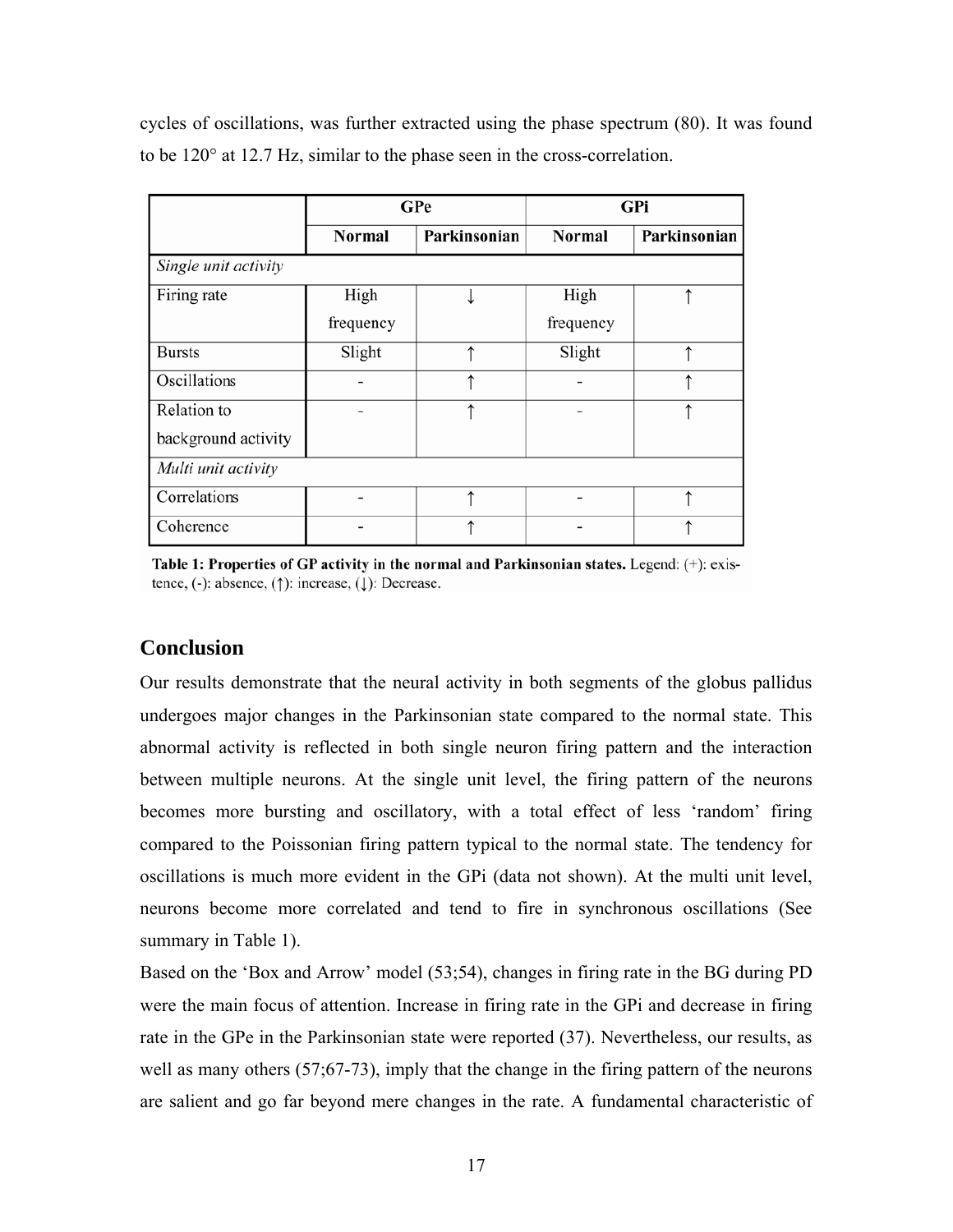|                      | GPe           |              | GPi           |              |
|----------------------|---------------|--------------|---------------|--------------|
|                      | <b>Normal</b> | Parkinsonian | <b>Normal</b> | Parkinsonian |
| Single unit activity |               |              |               |              |
| Firing rate          | High          |              | High          |              |
|                      | frequency     |              | frequency     |              |
| <b>Bursts</b>        | Slight        | ↑            | Slight        | ተ            |
| Oscillations         |               |              |               |              |
| Relation to          |               |              |               |              |
| background activity  |               |              |               |              |
| Multi unit activity  |               |              |               |              |
| Correlations         |               |              |               |              |
| Coherence            |               |              |               |              |

cycles of oscillations, was further extracted using the phase spectrum (80). It was found to be 120° at 12.7 Hz, similar to the phase seen in the cross-correlation.

Table 1: Properties of GP activity in the normal and Parkinsonian states. Legend: (+): existence, (-): absence, ( $\uparrow$ ): increase, ( $\downarrow$ ): Decrease.

## **Conclusion**

Our results demonstrate that the neural activity in both segments of the globus pallidus undergoes major changes in the Parkinsonian state compared to the normal state. This abnormal activity is reflected in both single neuron firing pattern and the interaction between multiple neurons. At the single unit level, the firing pattern of the neurons becomes more bursting and oscillatory, with a total effect of less 'random' firing compared to the Poissonian firing pattern typical to the normal state. The tendency for oscillations is much more evident in the GPi (data not shown). At the multi unit level, neurons become more correlated and tend to fire in synchronous oscillations (See summary in Table 1).

Based on the 'Box and Arrow' model (53;54), changes in firing rate in the BG during PD were the main focus of attention. Increase in firing rate in the GPi and decrease in firing rate in the GPe in the Parkinsonian state were reported (37). Nevertheless, our results, as well as many others (57;67-73), imply that the change in the firing pattern of the neurons are salient and go far beyond mere changes in the rate. A fundamental characteristic of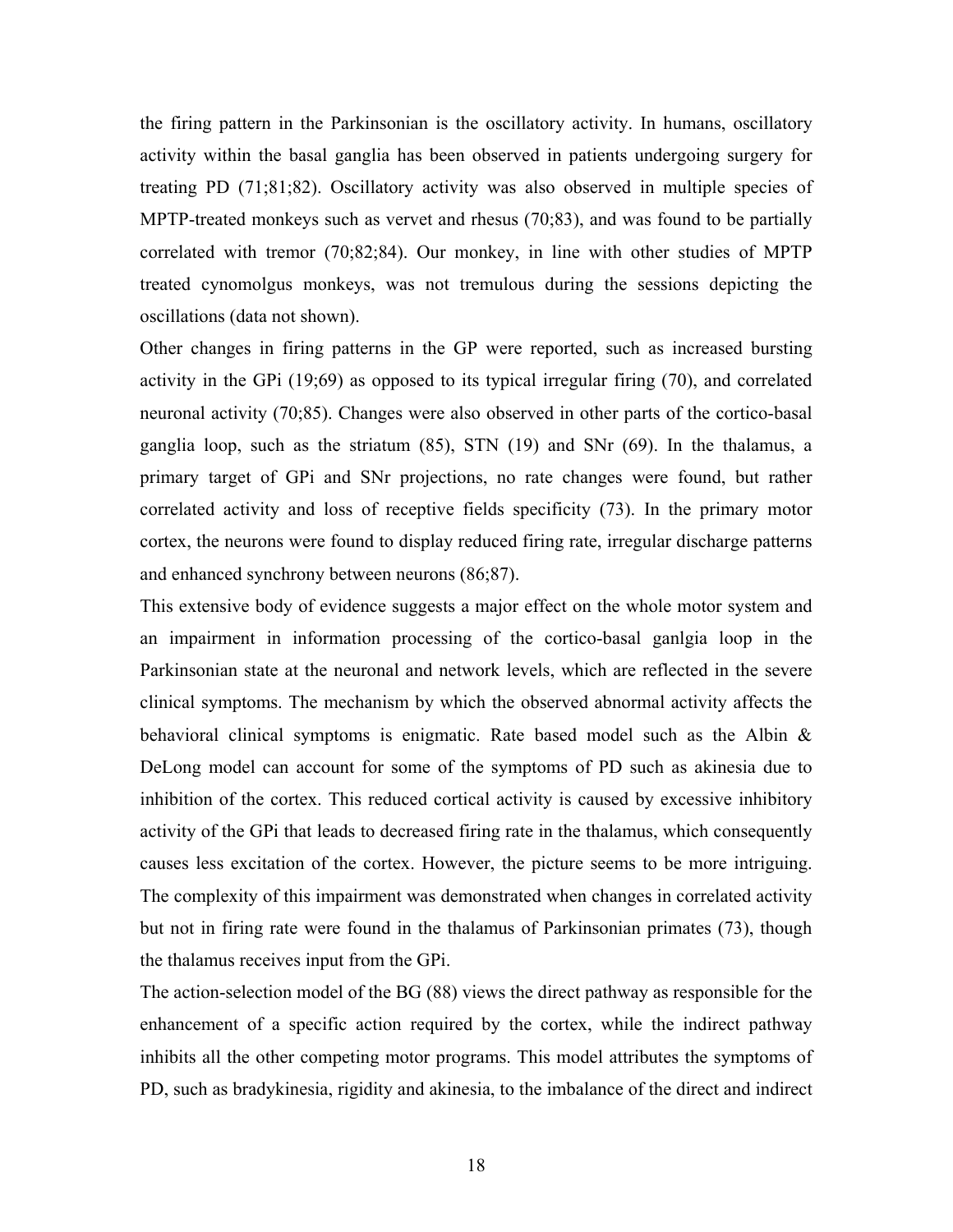the firing pattern in the Parkinsonian is the oscillatory activity. In humans, oscillatory activity within the basal ganglia has been observed in patients undergoing surgery for treating PD (71;81;82). Oscillatory activity was also observed in multiple species of MPTP-treated monkeys such as vervet and rhesus (70;83), and was found to be partially correlated with tremor (70;82;84). Our monkey, in line with other studies of MPTP treated cynomolgus monkeys, was not tremulous during the sessions depicting the oscillations (data not shown).

Other changes in firing patterns in the GP were reported, such as increased bursting activity in the GPi (19;69) as opposed to its typical irregular firing (70), and correlated neuronal activity (70;85). Changes were also observed in other parts of the cortico-basal ganglia loop, such as the striatum (85), STN (19) and SNr (69). In the thalamus, a primary target of GPi and SNr projections, no rate changes were found, but rather correlated activity and loss of receptive fields specificity (73). In the primary motor cortex, the neurons were found to display reduced firing rate, irregular discharge patterns and enhanced synchrony between neurons (86;87).

This extensive body of evidence suggests a major effect on the whole motor system and an impairment in information processing of the cortico-basal ganlgia loop in the Parkinsonian state at the neuronal and network levels, which are reflected in the severe clinical symptoms. The mechanism by which the observed abnormal activity affects the behavioral clinical symptoms is enigmatic. Rate based model such as the Albin & DeLong model can account for some of the symptoms of PD such as akinesia due to inhibition of the cortex. This reduced cortical activity is caused by excessive inhibitory activity of the GPi that leads to decreased firing rate in the thalamus, which consequently causes less excitation of the cortex. However, the picture seems to be more intriguing. The complexity of this impairment was demonstrated when changes in correlated activity but not in firing rate were found in the thalamus of Parkinsonian primates (73), though the thalamus receives input from the GPi.

The action-selection model of the BG (88) views the direct pathway as responsible for the enhancement of a specific action required by the cortex, while the indirect pathway inhibits all the other competing motor programs. This model attributes the symptoms of PD, such as bradykinesia, rigidity and akinesia, to the imbalance of the direct and indirect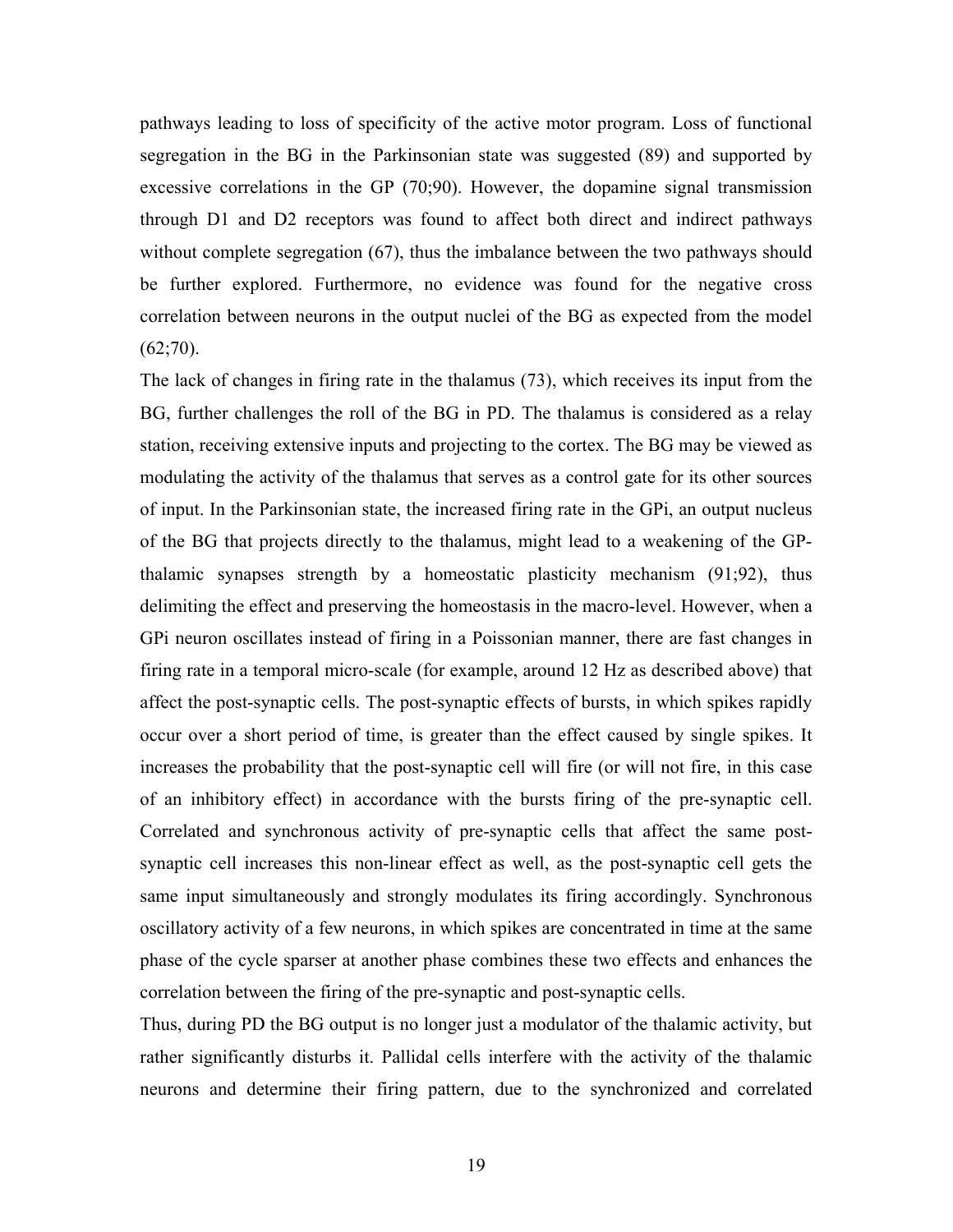pathways leading to loss of specificity of the active motor program. Loss of functional segregation in the BG in the Parkinsonian state was suggested (89) and supported by excessive correlations in the GP (70;90). However, the dopamine signal transmission through D1 and D2 receptors was found to affect both direct and indirect pathways without complete segregation (67), thus the imbalance between the two pathways should be further explored. Furthermore, no evidence was found for the negative cross correlation between neurons in the output nuclei of the BG as expected from the model  $(62;70)$ .

The lack of changes in firing rate in the thalamus (73), which receives its input from the BG, further challenges the roll of the BG in PD. The thalamus is considered as a relay station, receiving extensive inputs and projecting to the cortex. The BG may be viewed as modulating the activity of the thalamus that serves as a control gate for its other sources of input. In the Parkinsonian state, the increased firing rate in the GPi, an output nucleus of the BG that projects directly to the thalamus, might lead to a weakening of the GPthalamic synapses strength by a homeostatic plasticity mechanism (91;92), thus delimiting the effect and preserving the homeostasis in the macro-level. However, when a GPi neuron oscillates instead of firing in a Poissonian manner, there are fast changes in firing rate in a temporal micro-scale (for example, around 12 Hz as described above) that affect the post-synaptic cells. The post-synaptic effects of bursts, in which spikes rapidly occur over a short period of time, is greater than the effect caused by single spikes. It increases the probability that the post-synaptic cell will fire (or will not fire, in this case of an inhibitory effect) in accordance with the bursts firing of the pre-synaptic cell. Correlated and synchronous activity of pre-synaptic cells that affect the same postsynaptic cell increases this non-linear effect as well, as the post-synaptic cell gets the same input simultaneously and strongly modulates its firing accordingly. Synchronous oscillatory activity of a few neurons, in which spikes are concentrated in time at the same phase of the cycle sparser at another phase combines these two effects and enhances the correlation between the firing of the pre-synaptic and post-synaptic cells.

Thus, during PD the BG output is no longer just a modulator of the thalamic activity, but rather significantly disturbs it. Pallidal cells interfere with the activity of the thalamic neurons and determine their firing pattern, due to the synchronized and correlated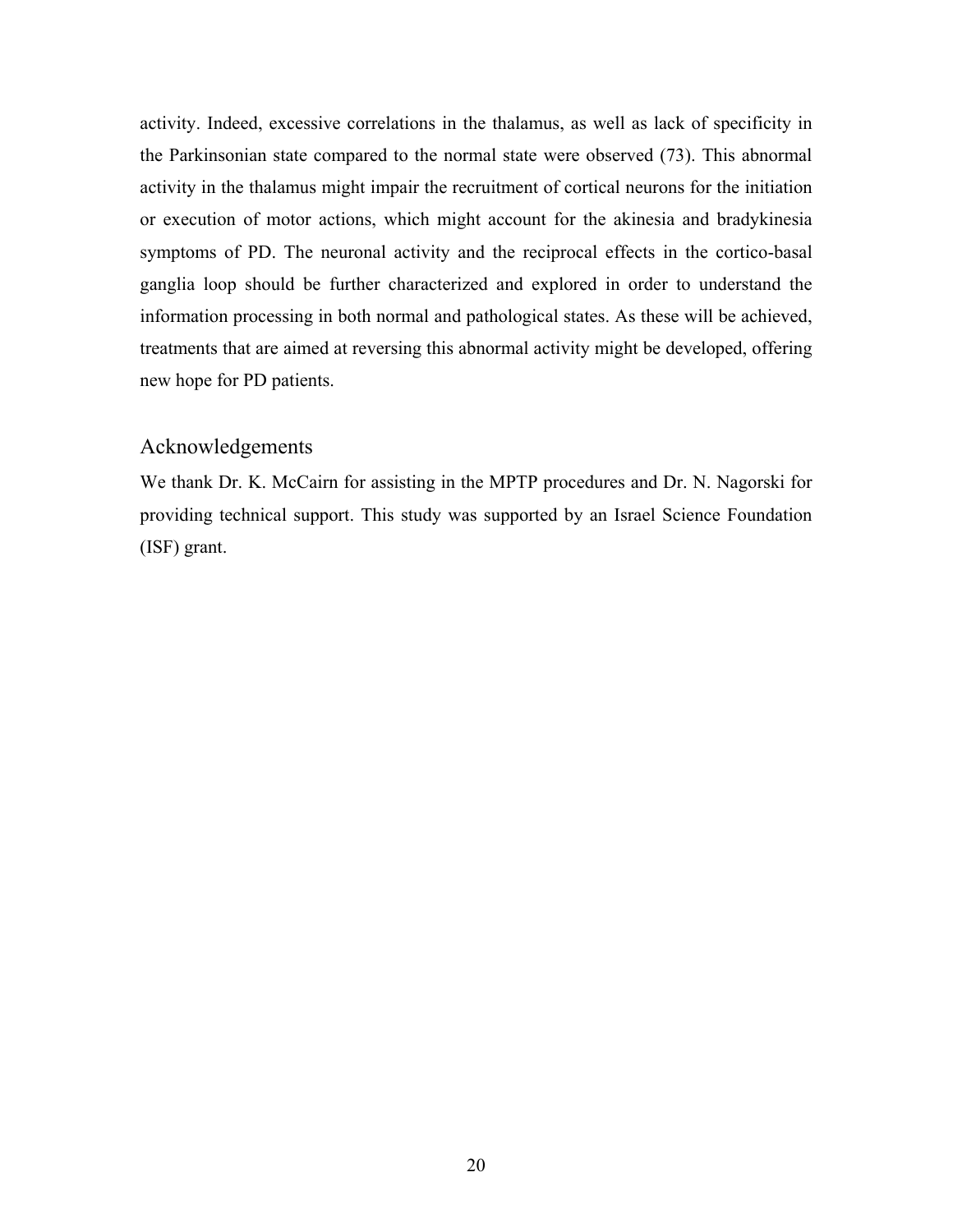activity. Indeed, excessive correlations in the thalamus, as well as lack of specificity in the Parkinsonian state compared to the normal state were observed (73). This abnormal activity in the thalamus might impair the recruitment of cortical neurons for the initiation or execution of motor actions, which might account for the akinesia and bradykinesia symptoms of PD. The neuronal activity and the reciprocal effects in the cortico-basal ganglia loop should be further characterized and explored in order to understand the information processing in both normal and pathological states. As these will be achieved, treatments that are aimed at reversing this abnormal activity might be developed, offering new hope for PD patients.

## Acknowledgements

We thank Dr. K. McCairn for assisting in the MPTP procedures and Dr. N. Nagorski for providing technical support. This study was supported by an Israel Science Foundation (ISF) grant.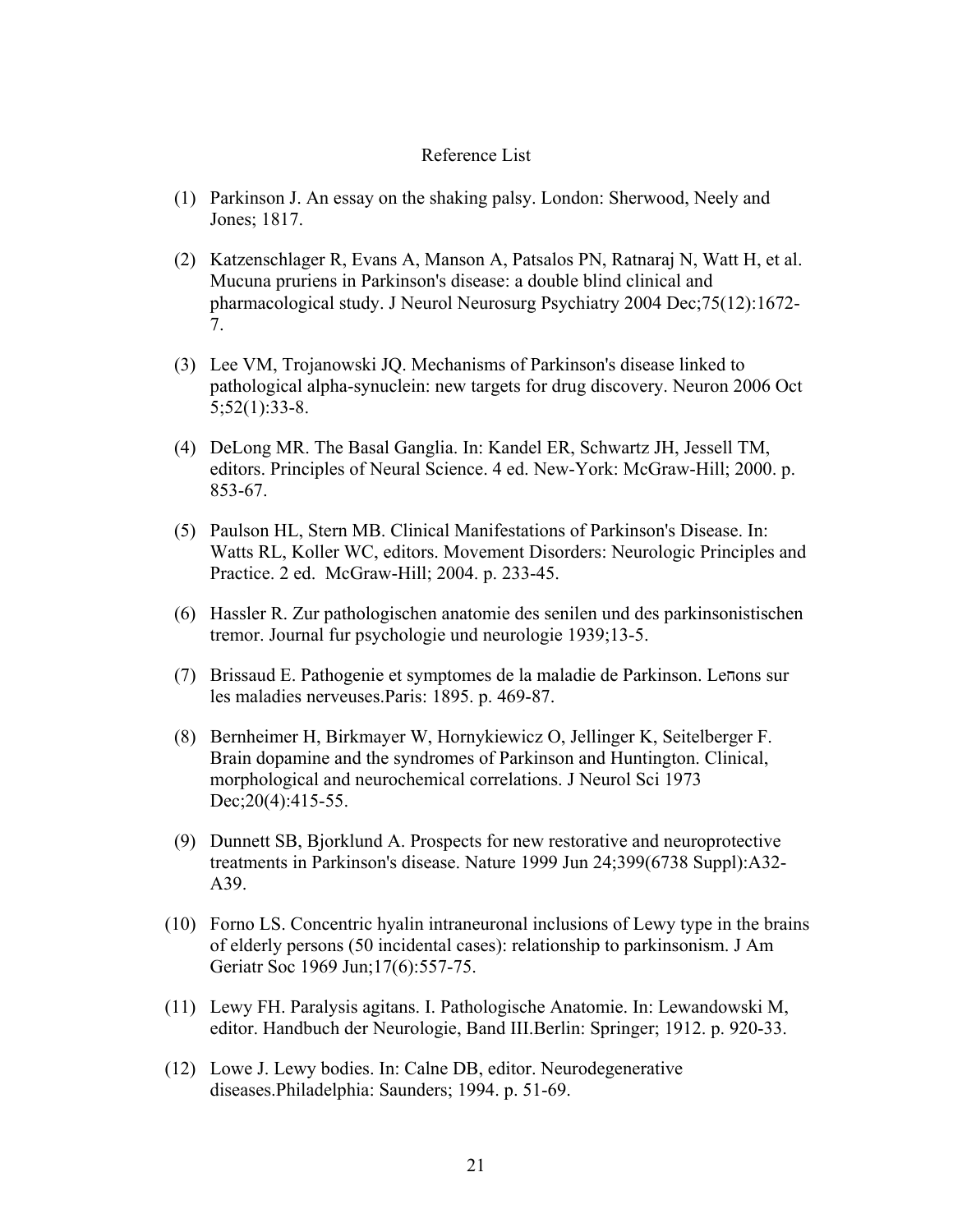#### Reference List

- (1) Parkinson J. An essay on the shaking palsy. London: Sherwood, Neely and Jones; 1817.
- (2) Katzenschlager R, Evans A, Manson A, Patsalos PN, Ratnaraj N, Watt H, et al. Mucuna pruriens in Parkinson's disease: a double blind clinical and pharmacological study. J Neurol Neurosurg Psychiatry 2004 Dec;75(12):1672- 7.
- (3) Lee VM, Trojanowski JQ. Mechanisms of Parkinson's disease linked to pathological alpha-synuclein: new targets for drug discovery. Neuron 2006 Oct 5;52(1):33-8.
- (4) DeLong MR. The Basal Ganglia. In: Kandel ER, Schwartz JH, Jessell TM, editors. Principles of Neural Science. 4 ed. New-York: McGraw-Hill; 2000. p. 853-67.
- (5) Paulson HL, Stern MB. Clinical Manifestations of Parkinson's Disease. In: Watts RL, Koller WC, editors. Movement Disorders: Neurologic Principles and Practice. 2 ed. McGraw-Hill; 2004. p. 233-45.
- (6) Hassler R. Zur pathologischen anatomie des senilen und des parkinsonistischen tremor. Journal fur psychologie und neurologie 1939;13-5.
- (7) Brissaud E. Pathogenie et symptomes de la maladie de Parkinson. Leחons sur les maladies nerveuses.Paris: 1895. p. 469-87.
- (8) Bernheimer H, Birkmayer W, Hornykiewicz O, Jellinger K, Seitelberger F. Brain dopamine and the syndromes of Parkinson and Huntington. Clinical, morphological and neurochemical correlations. J Neurol Sci 1973 Dec; 20(4): 415-55.
- (9) Dunnett SB, Bjorklund A. Prospects for new restorative and neuroprotective treatments in Parkinson's disease. Nature 1999 Jun 24;399(6738 Suppl):A32- A39.
- (10) Forno LS. Concentric hyalin intraneuronal inclusions of Lewy type in the brains of elderly persons (50 incidental cases): relationship to parkinsonism. J Am Geriatr Soc 1969 Jun;17(6):557-75.
- (11) Lewy FH. Paralysis agitans. I. Pathologische Anatomie. In: Lewandowski M, editor. Handbuch der Neurologie, Band III.Berlin: Springer; 1912. p. 920-33.
- (12) Lowe J. Lewy bodies. In: Calne DB, editor. Neurodegenerative diseases.Philadelphia: Saunders; 1994. p. 51-69.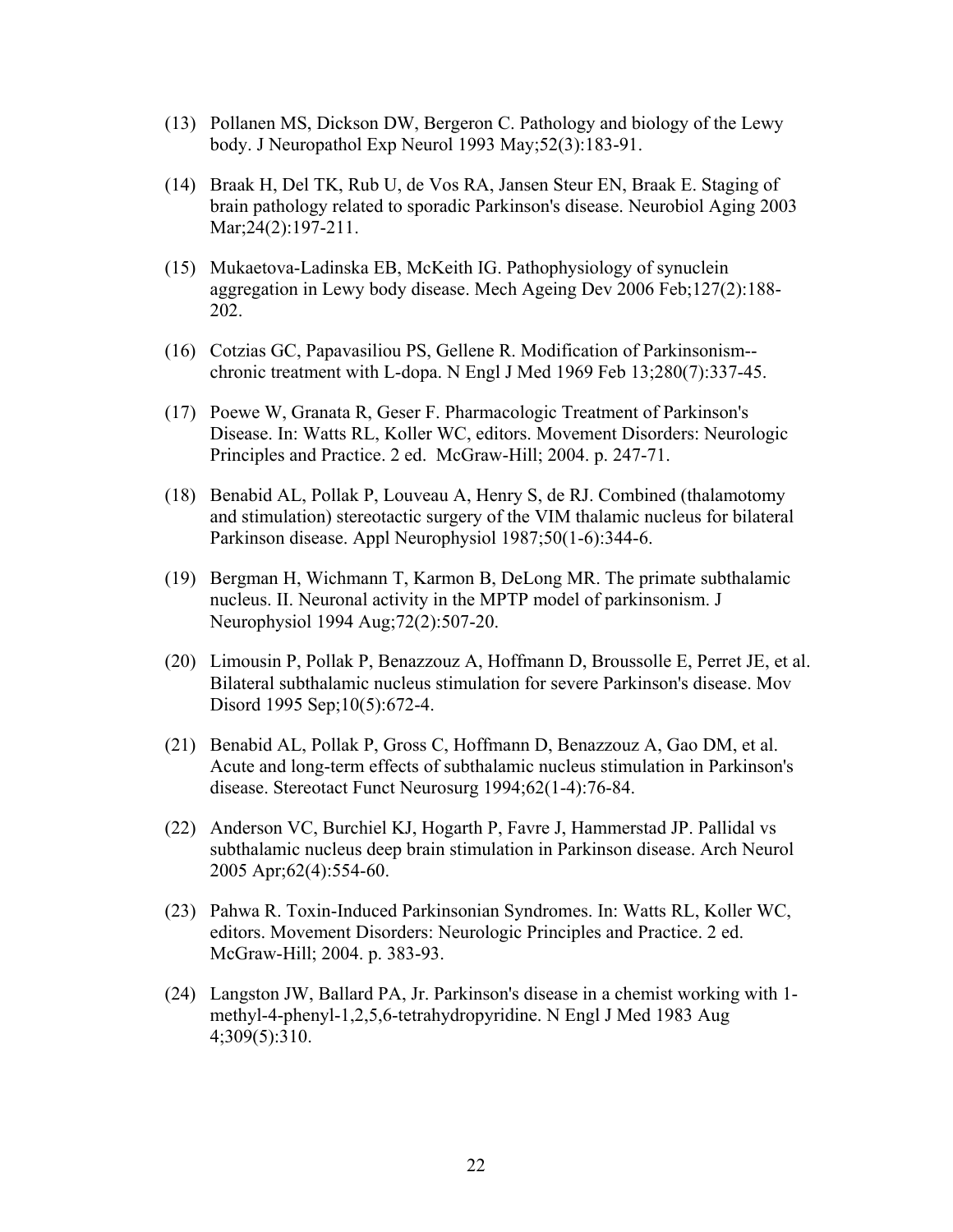- (13) Pollanen MS, Dickson DW, Bergeron C. Pathology and biology of the Lewy body. J Neuropathol Exp Neurol 1993 May;52(3):183-91.
- (14) Braak H, Del TK, Rub U, de Vos RA, Jansen Steur EN, Braak E. Staging of brain pathology related to sporadic Parkinson's disease. Neurobiol Aging 2003 Mar; 24(2): 197-211.
- (15) Mukaetova-Ladinska EB, McKeith IG. Pathophysiology of synuclein aggregation in Lewy body disease. Mech Ageing Dev 2006 Feb;127(2):188- 202.
- (16) Cotzias GC, Papavasiliou PS, Gellene R. Modification of Parkinsonism- chronic treatment with L-dopa. N Engl J Med 1969 Feb 13;280(7):337-45.
- (17) Poewe W, Granata R, Geser F. Pharmacologic Treatment of Parkinson's Disease. In: Watts RL, Koller WC, editors. Movement Disorders: Neurologic Principles and Practice. 2 ed. McGraw-Hill; 2004. p. 247-71.
- (18) Benabid AL, Pollak P, Louveau A, Henry S, de RJ. Combined (thalamotomy and stimulation) stereotactic surgery of the VIM thalamic nucleus for bilateral Parkinson disease. Appl Neurophysiol 1987;50(1-6):344-6.
- (19) Bergman H, Wichmann T, Karmon B, DeLong MR. The primate subthalamic nucleus. II. Neuronal activity in the MPTP model of parkinsonism. J Neurophysiol 1994 Aug;72(2):507-20.
- (20) Limousin P, Pollak P, Benazzouz A, Hoffmann D, Broussolle E, Perret JE, et al. Bilateral subthalamic nucleus stimulation for severe Parkinson's disease. Mov Disord 1995 Sep;10(5):672-4.
- (21) Benabid AL, Pollak P, Gross C, Hoffmann D, Benazzouz A, Gao DM, et al. Acute and long-term effects of subthalamic nucleus stimulation in Parkinson's disease. Stereotact Funct Neurosurg 1994;62(1-4):76-84.
- (22) Anderson VC, Burchiel KJ, Hogarth P, Favre J, Hammerstad JP. Pallidal vs subthalamic nucleus deep brain stimulation in Parkinson disease. Arch Neurol 2005 Apr;62(4):554-60.
- (23) Pahwa R. Toxin-Induced Parkinsonian Syndromes. In: Watts RL, Koller WC, editors. Movement Disorders: Neurologic Principles and Practice. 2 ed. McGraw-Hill; 2004. p. 383-93.
- (24) Langston JW, Ballard PA, Jr. Parkinson's disease in a chemist working with 1 methyl-4-phenyl-1,2,5,6-tetrahydropyridine. N Engl J Med 1983 Aug 4;309(5):310.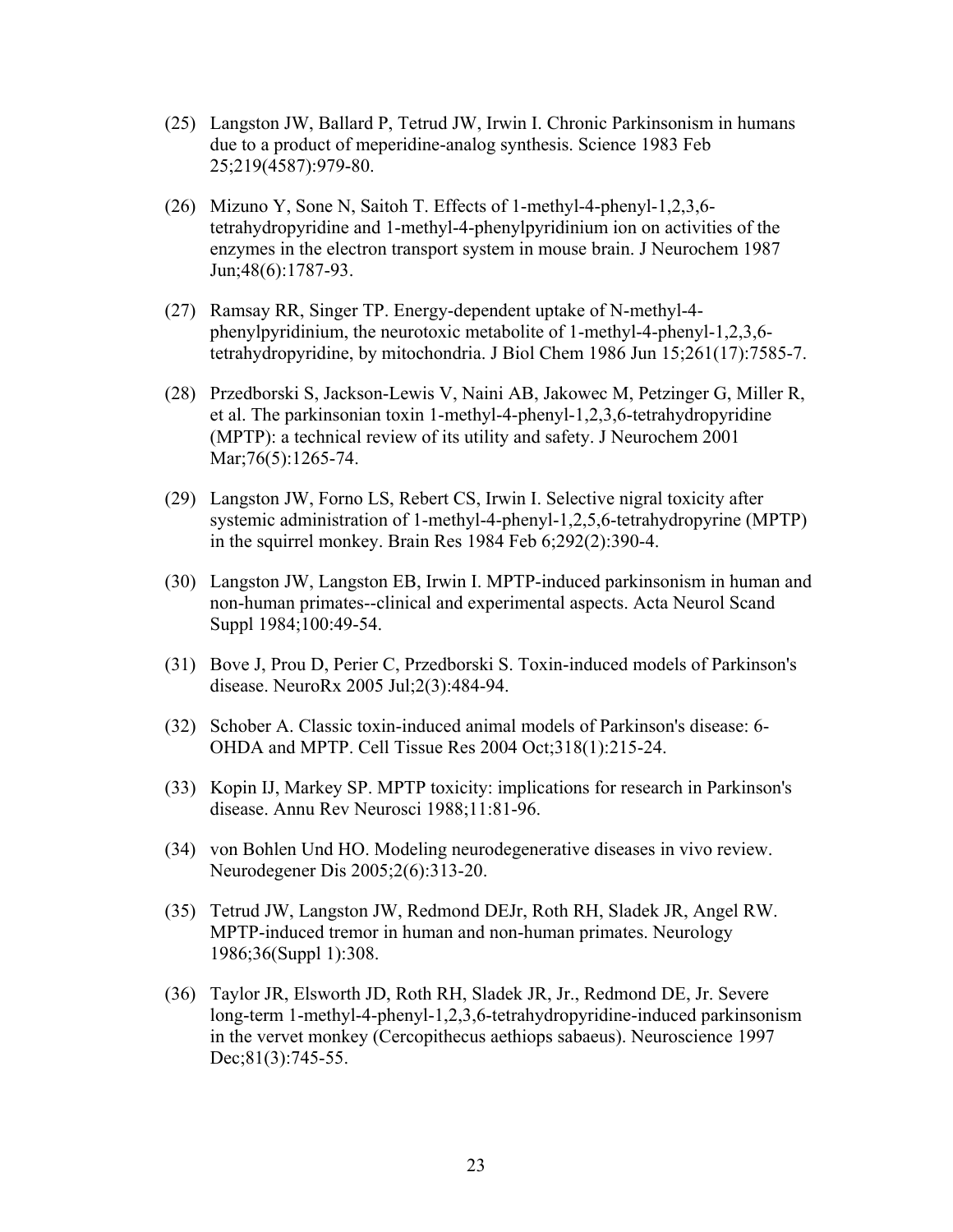- (25) Langston JW, Ballard P, Tetrud JW, Irwin I. Chronic Parkinsonism in humans due to a product of meperidine-analog synthesis. Science 1983 Feb 25;219(4587):979-80.
- (26) Mizuno Y, Sone N, Saitoh T. Effects of 1-methyl-4-phenyl-1,2,3,6 tetrahydropyridine and 1-methyl-4-phenylpyridinium ion on activities of the enzymes in the electron transport system in mouse brain. J Neurochem 1987 Jun;48(6):1787-93.
- (27) Ramsay RR, Singer TP. Energy-dependent uptake of N-methyl-4 phenylpyridinium, the neurotoxic metabolite of 1-methyl-4-phenyl-1,2,3,6 tetrahydropyridine, by mitochondria. J Biol Chem 1986 Jun 15;261(17):7585-7.
- (28) Przedborski S, Jackson-Lewis V, Naini AB, Jakowec M, Petzinger G, Miller R, et al. The parkinsonian toxin 1-methyl-4-phenyl-1,2,3,6-tetrahydropyridine (MPTP): a technical review of its utility and safety. J Neurochem 2001 Mar; 76(5): 1265-74.
- (29) Langston JW, Forno LS, Rebert CS, Irwin I. Selective nigral toxicity after systemic administration of 1-methyl-4-phenyl-1,2,5,6-tetrahydropyrine (MPTP) in the squirrel monkey. Brain Res 1984 Feb 6;292(2):390-4.
- (30) Langston JW, Langston EB, Irwin I. MPTP-induced parkinsonism in human and non-human primates--clinical and experimental aspects. Acta Neurol Scand Suppl 1984;100:49-54.
- (31) Bove J, Prou D, Perier C, Przedborski S. Toxin-induced models of Parkinson's disease. NeuroRx 2005 Jul;2(3):484-94.
- (32) Schober A. Classic toxin-induced animal models of Parkinson's disease: 6- OHDA and MPTP. Cell Tissue Res 2004 Oct;318(1):215-24.
- (33) Kopin IJ, Markey SP. MPTP toxicity: implications for research in Parkinson's disease. Annu Rev Neurosci 1988;11:81-96.
- (34) von Bohlen Und HO. Modeling neurodegenerative diseases in vivo review. Neurodegener Dis 2005;2(6):313-20.
- (35) Tetrud JW, Langston JW, Redmond DEJr, Roth RH, Sladek JR, Angel RW. MPTP-induced tremor in human and non-human primates. Neurology 1986;36(Suppl 1):308.
- (36) Taylor JR, Elsworth JD, Roth RH, Sladek JR, Jr., Redmond DE, Jr. Severe long-term 1-methyl-4-phenyl-1,2,3,6-tetrahydropyridine-induced parkinsonism in the vervet monkey (Cercopithecus aethiops sabaeus). Neuroscience 1997 Dec;81(3):745-55.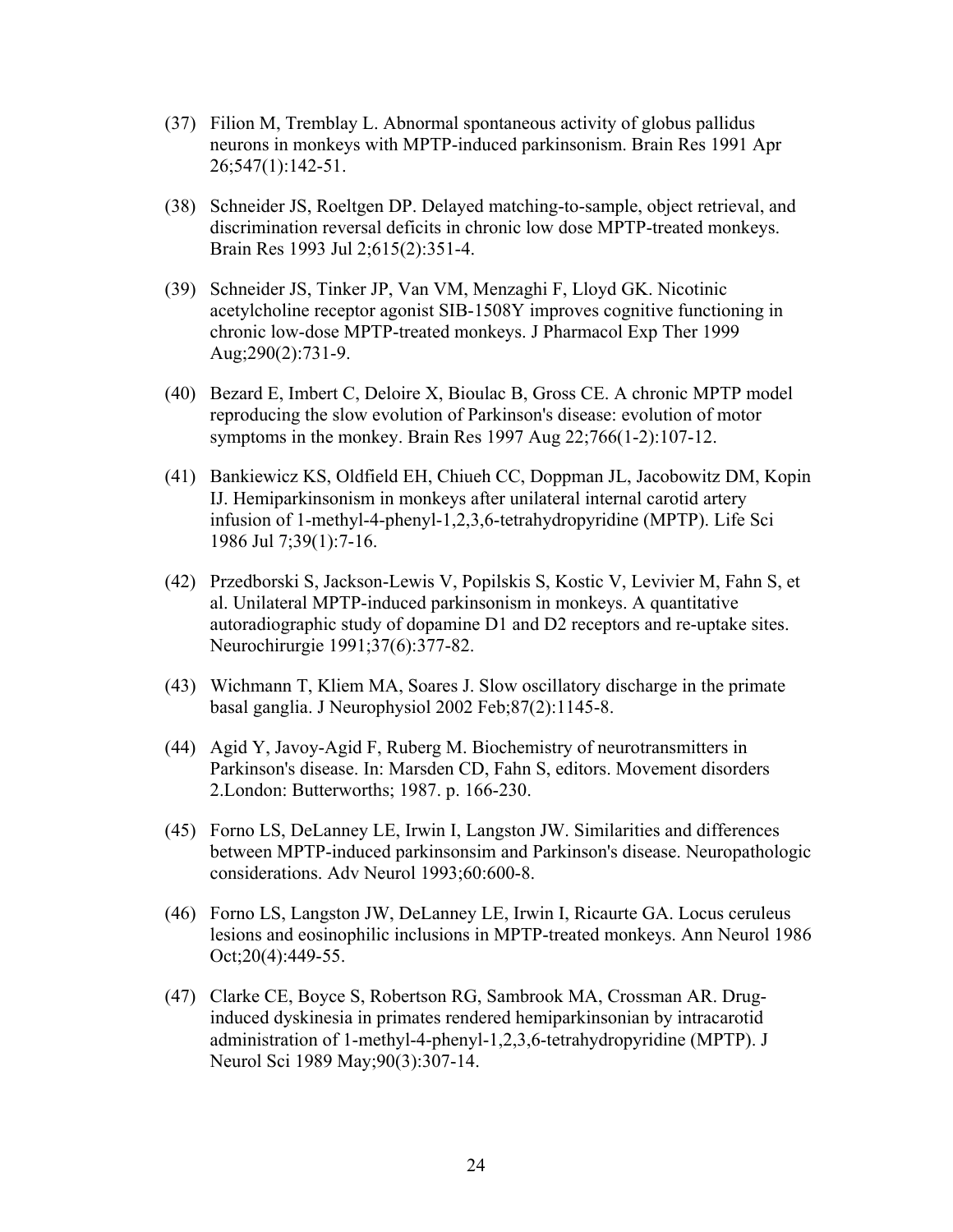- (37) Filion M, Tremblay L. Abnormal spontaneous activity of globus pallidus neurons in monkeys with MPTP-induced parkinsonism. Brain Res 1991 Apr 26;547(1):142-51.
- (38) Schneider JS, Roeltgen DP. Delayed matching-to-sample, object retrieval, and discrimination reversal deficits in chronic low dose MPTP-treated monkeys. Brain Res 1993 Jul 2;615(2):351-4.
- (39) Schneider JS, Tinker JP, Van VM, Menzaghi F, Lloyd GK. Nicotinic acetylcholine receptor agonist SIB-1508Y improves cognitive functioning in chronic low-dose MPTP-treated monkeys. J Pharmacol Exp Ther 1999 Aug;290(2):731-9.
- (40) Bezard E, Imbert C, Deloire X, Bioulac B, Gross CE. A chronic MPTP model reproducing the slow evolution of Parkinson's disease: evolution of motor symptoms in the monkey. Brain Res 1997 Aug 22;766(1-2):107-12.
- (41) Bankiewicz KS, Oldfield EH, Chiueh CC, Doppman JL, Jacobowitz DM, Kopin IJ. Hemiparkinsonism in monkeys after unilateral internal carotid artery infusion of 1-methyl-4-phenyl-1,2,3,6-tetrahydropyridine (MPTP). Life Sci 1986 Jul 7;39(1):7-16.
- (42) Przedborski S, Jackson-Lewis V, Popilskis S, Kostic V, Levivier M, Fahn S, et al. Unilateral MPTP-induced parkinsonism in monkeys. A quantitative autoradiographic study of dopamine D1 and D2 receptors and re-uptake sites. Neurochirurgie 1991;37(6):377-82.
- (43) Wichmann T, Kliem MA, Soares J. Slow oscillatory discharge in the primate basal ganglia. J Neurophysiol 2002 Feb;87(2):1145-8.
- (44) Agid Y, Javoy-Agid F, Ruberg M. Biochemistry of neurotransmitters in Parkinson's disease. In: Marsden CD, Fahn S, editors. Movement disorders 2.London: Butterworths; 1987. p. 166-230.
- (45) Forno LS, DeLanney LE, Irwin I, Langston JW. Similarities and differences between MPTP-induced parkinsonsim and Parkinson's disease. Neuropathologic considerations. Adv Neurol 1993;60:600-8.
- (46) Forno LS, Langston JW, DeLanney LE, Irwin I, Ricaurte GA. Locus ceruleus lesions and eosinophilic inclusions in MPTP-treated monkeys. Ann Neurol 1986 Oct;20(4):449-55.
- (47) Clarke CE, Boyce S, Robertson RG, Sambrook MA, Crossman AR. Druginduced dyskinesia in primates rendered hemiparkinsonian by intracarotid administration of 1-methyl-4-phenyl-1,2,3,6-tetrahydropyridine (MPTP). J Neurol Sci 1989 May;90(3):307-14.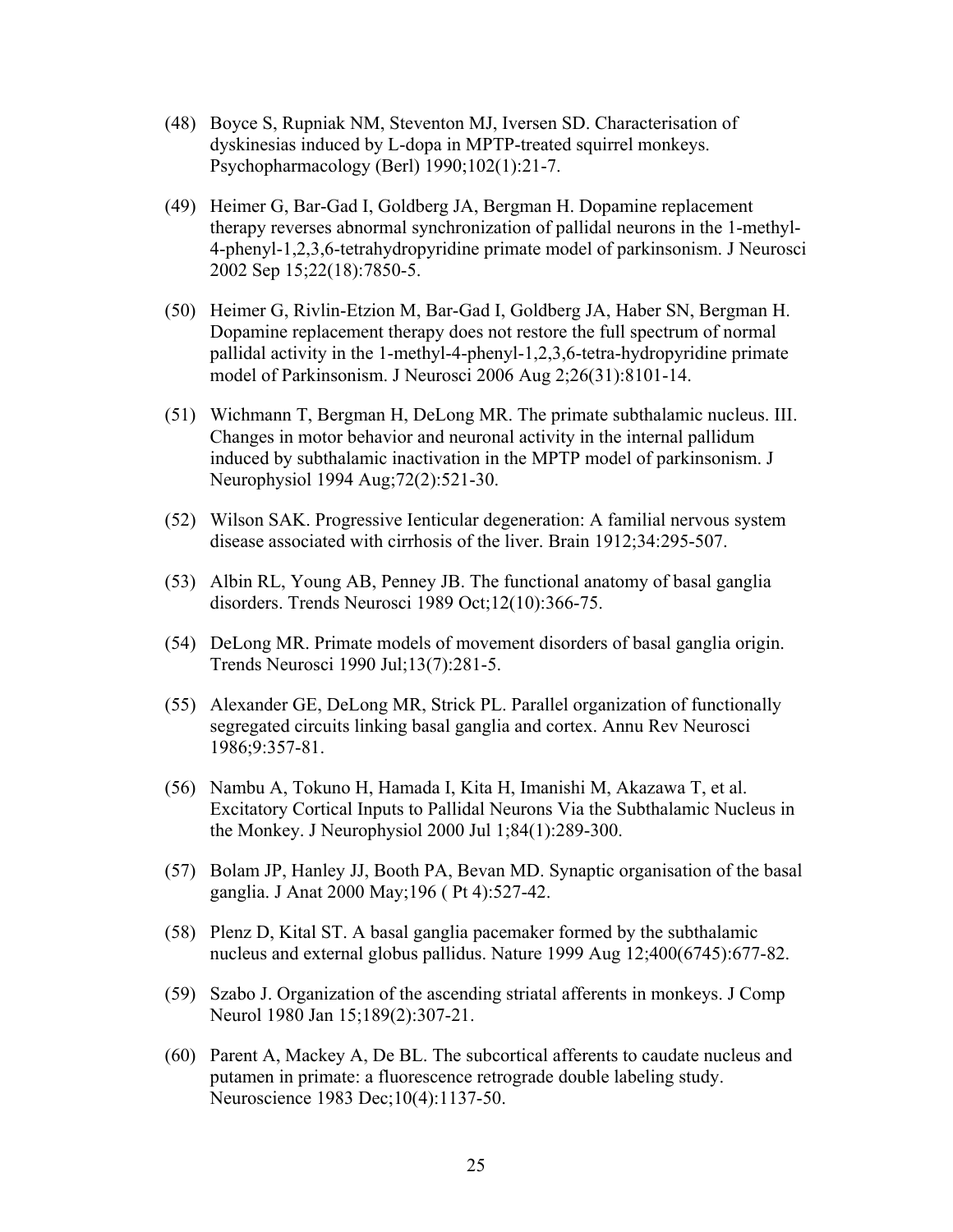- (48) Boyce S, Rupniak NM, Steventon MJ, Iversen SD. Characterisation of dyskinesias induced by L-dopa in MPTP-treated squirrel monkeys. Psychopharmacology (Berl) 1990;102(1):21-7.
- (49) Heimer G, Bar-Gad I, Goldberg JA, Bergman H. Dopamine replacement therapy reverses abnormal synchronization of pallidal neurons in the 1-methyl-4-phenyl-1,2,3,6-tetrahydropyridine primate model of parkinsonism. J Neurosci 2002 Sep 15;22(18):7850-5.
- (50) Heimer G, Rivlin-Etzion M, Bar-Gad I, Goldberg JA, Haber SN, Bergman H. Dopamine replacement therapy does not restore the full spectrum of normal pallidal activity in the 1-methyl-4-phenyl-1,2,3,6-tetra-hydropyridine primate model of Parkinsonism. J Neurosci 2006 Aug 2;26(31):8101-14.
- (51) Wichmann T, Bergman H, DeLong MR. The primate subthalamic nucleus. III. Changes in motor behavior and neuronal activity in the internal pallidum induced by subthalamic inactivation in the MPTP model of parkinsonism. J Neurophysiol 1994 Aug;72(2):521-30.
- (52) Wilson SAK. Progressive Ienticular degeneration: A familial nervous system disease associated with cirrhosis of the liver. Brain 1912;34:295-507.
- (53) Albin RL, Young AB, Penney JB. The functional anatomy of basal ganglia disorders. Trends Neurosci 1989 Oct;12(10):366-75.
- (54) DeLong MR. Primate models of movement disorders of basal ganglia origin. Trends Neurosci 1990 Jul;13(7):281-5.
- (55) Alexander GE, DeLong MR, Strick PL. Parallel organization of functionally segregated circuits linking basal ganglia and cortex. Annu Rev Neurosci 1986;9:357-81.
- (56) Nambu A, Tokuno H, Hamada I, Kita H, Imanishi M, Akazawa T, et al. Excitatory Cortical Inputs to Pallidal Neurons Via the Subthalamic Nucleus in the Monkey. J Neurophysiol 2000 Jul 1;84(1):289-300.
- (57) Bolam JP, Hanley JJ, Booth PA, Bevan MD. Synaptic organisation of the basal ganglia. J Anat 2000 May;196 ( Pt 4):527-42.
- (58) Plenz D, Kital ST. A basal ganglia pacemaker formed by the subthalamic nucleus and external globus pallidus. Nature 1999 Aug 12;400(6745):677-82.
- (59) Szabo J. Organization of the ascending striatal afferents in monkeys. J Comp Neurol 1980 Jan 15;189(2):307-21.
- (60) Parent A, Mackey A, De BL. The subcortical afferents to caudate nucleus and putamen in primate: a fluorescence retrograde double labeling study. Neuroscience 1983 Dec;10(4):1137-50.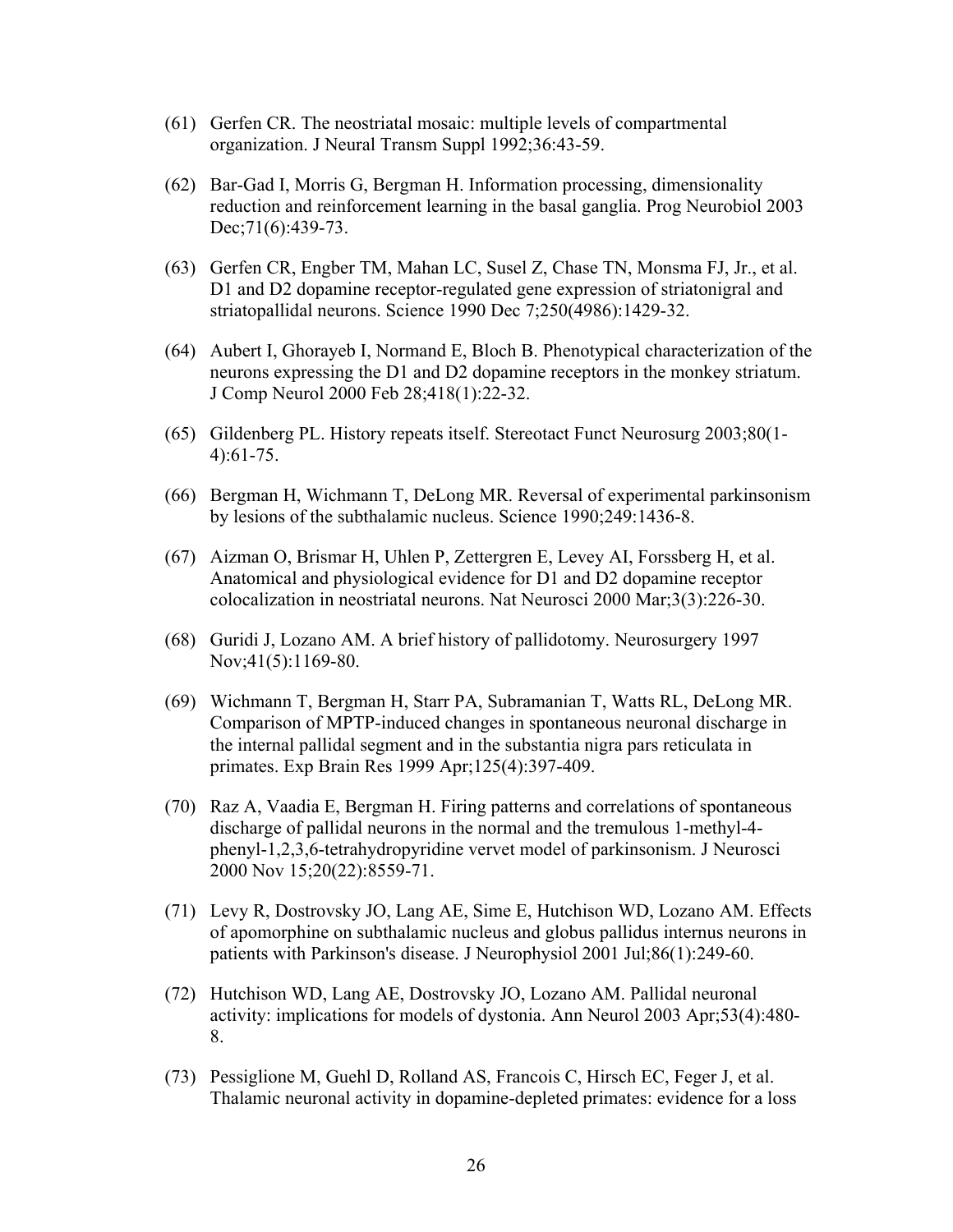- (61) Gerfen CR. The neostriatal mosaic: multiple levels of compartmental organization. J Neural Transm Suppl 1992;36:43-59.
- (62) Bar-Gad I, Morris G, Bergman H. Information processing, dimensionality reduction and reinforcement learning in the basal ganglia. Prog Neurobiol 2003 Dec; 71(6): 439-73.
- (63) Gerfen CR, Engber TM, Mahan LC, Susel Z, Chase TN, Monsma FJ, Jr., et al. D1 and D2 dopamine receptor-regulated gene expression of striatonigral and striatopallidal neurons. Science 1990 Dec 7;250(4986):1429-32.
- (64) Aubert I, Ghorayeb I, Normand E, Bloch B. Phenotypical characterization of the neurons expressing the D1 and D2 dopamine receptors in the monkey striatum. J Comp Neurol 2000 Feb 28;418(1):22-32.
- (65) Gildenberg PL. History repeats itself. Stereotact Funct Neurosurg 2003;80(1- 4):61-75.
- (66) Bergman H, Wichmann T, DeLong MR. Reversal of experimental parkinsonism by lesions of the subthalamic nucleus. Science 1990;249:1436-8.
- (67) Aizman O, Brismar H, Uhlen P, Zettergren E, Levey AI, Forssberg H, et al. Anatomical and physiological evidence for D1 and D2 dopamine receptor colocalization in neostriatal neurons. Nat Neurosci 2000 Mar;3(3):226-30.
- (68) Guridi J, Lozano AM. A brief history of pallidotomy. Neurosurgery 1997 Nov; 41(5): 1169-80.
- (69) Wichmann T, Bergman H, Starr PA, Subramanian T, Watts RL, DeLong MR. Comparison of MPTP-induced changes in spontaneous neuronal discharge in the internal pallidal segment and in the substantia nigra pars reticulata in primates. Exp Brain Res 1999 Apr;125(4):397-409.
- (70) Raz A, Vaadia E, Bergman H. Firing patterns and correlations of spontaneous discharge of pallidal neurons in the normal and the tremulous 1-methyl-4 phenyl-1,2,3,6-tetrahydropyridine vervet model of parkinsonism. J Neurosci 2000 Nov 15;20(22):8559-71.
- (71) Levy R, Dostrovsky JO, Lang AE, Sime E, Hutchison WD, Lozano AM. Effects of apomorphine on subthalamic nucleus and globus pallidus internus neurons in patients with Parkinson's disease. J Neurophysiol 2001 Jul;86(1):249-60.
- (72) Hutchison WD, Lang AE, Dostrovsky JO, Lozano AM. Pallidal neuronal activity: implications for models of dystonia. Ann Neurol 2003 Apr;53(4):480- 8.
- (73) Pessiglione M, Guehl D, Rolland AS, Francois C, Hirsch EC, Feger J, et al. Thalamic neuronal activity in dopamine-depleted primates: evidence for a loss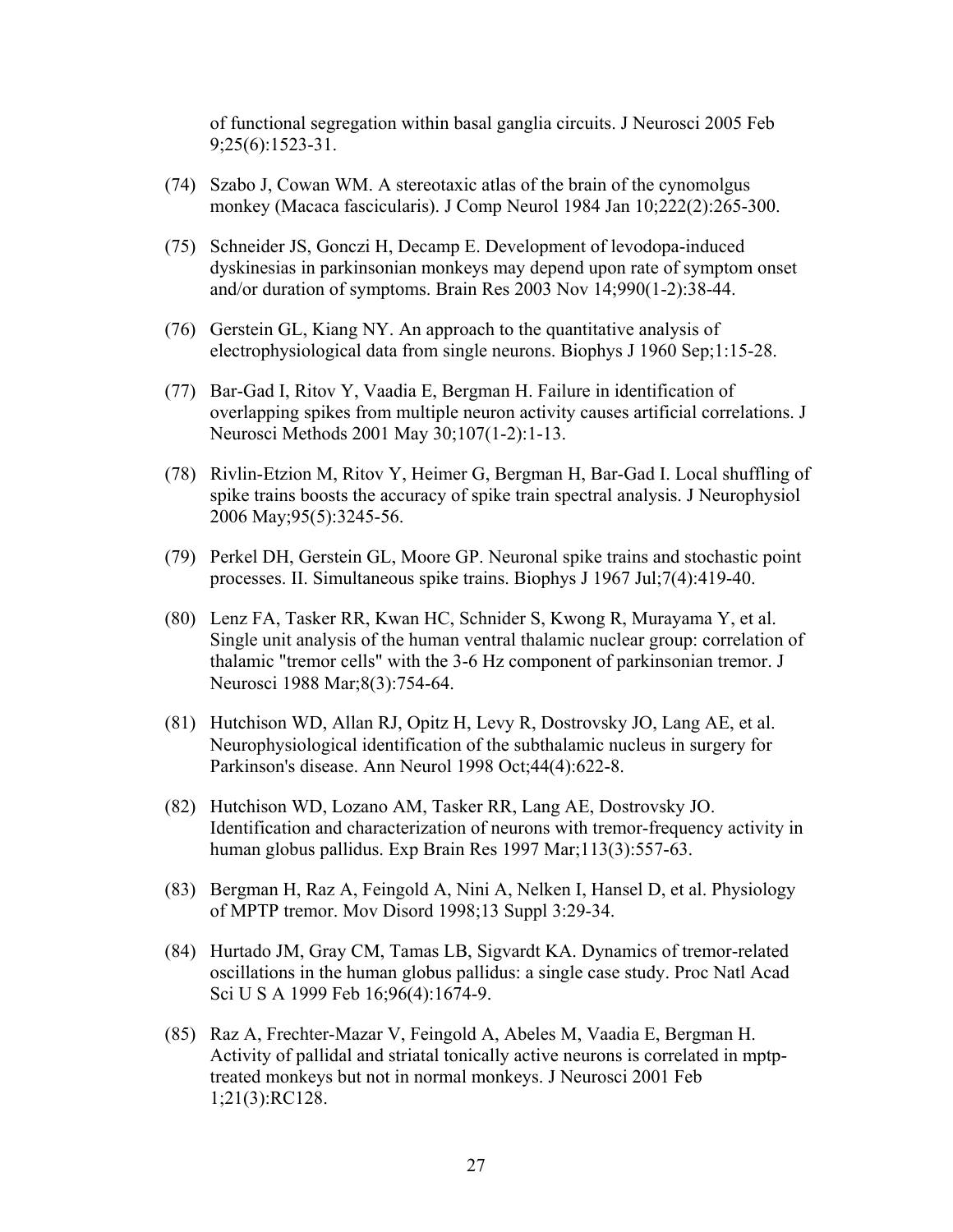of functional segregation within basal ganglia circuits. J Neurosci 2005 Feb 9;25(6):1523-31.

- (74) Szabo J, Cowan WM. A stereotaxic atlas of the brain of the cynomolgus monkey (Macaca fascicularis). J Comp Neurol 1984 Jan 10;222(2):265-300.
- (75) Schneider JS, Gonczi H, Decamp E. Development of levodopa-induced dyskinesias in parkinsonian monkeys may depend upon rate of symptom onset and/or duration of symptoms. Brain Res 2003 Nov 14;990(1-2):38-44.
- (76) Gerstein GL, Kiang NY. An approach to the quantitative analysis of electrophysiological data from single neurons. Biophys J 1960 Sep;1:15-28.
- (77) Bar-Gad I, Ritov Y, Vaadia E, Bergman H. Failure in identification of overlapping spikes from multiple neuron activity causes artificial correlations. J Neurosci Methods 2001 May 30;107(1-2):1-13.
- (78) Rivlin-Etzion M, Ritov Y, Heimer G, Bergman H, Bar-Gad I. Local shuffling of spike trains boosts the accuracy of spike train spectral analysis. J Neurophysiol 2006 May;95(5):3245-56.
- (79) Perkel DH, Gerstein GL, Moore GP. Neuronal spike trains and stochastic point processes. II. Simultaneous spike trains. Biophys J 1967 Jul;7(4):419-40.
- (80) Lenz FA, Tasker RR, Kwan HC, Schnider S, Kwong R, Murayama Y, et al. Single unit analysis of the human ventral thalamic nuclear group: correlation of thalamic "tremor cells" with the 3-6 Hz component of parkinsonian tremor. J Neurosci 1988 Mar;8(3):754-64.
- (81) Hutchison WD, Allan RJ, Opitz H, Levy R, Dostrovsky JO, Lang AE, et al. Neurophysiological identification of the subthalamic nucleus in surgery for Parkinson's disease. Ann Neurol 1998 Oct;44(4):622-8.
- (82) Hutchison WD, Lozano AM, Tasker RR, Lang AE, Dostrovsky JO. Identification and characterization of neurons with tremor-frequency activity in human globus pallidus. Exp Brain Res 1997 Mar;113(3):557-63.
- (83) Bergman H, Raz A, Feingold A, Nini A, Nelken I, Hansel D, et al. Physiology of MPTP tremor. Mov Disord 1998;13 Suppl 3:29-34.
- (84) Hurtado JM, Gray CM, Tamas LB, Sigvardt KA. Dynamics of tremor-related oscillations in the human globus pallidus: a single case study. Proc Natl Acad Sci U S A 1999 Feb 16;96(4):1674-9.
- (85) Raz A, Frechter-Mazar V, Feingold A, Abeles M, Vaadia E, Bergman H. Activity of pallidal and striatal tonically active neurons is correlated in mptptreated monkeys but not in normal monkeys. J Neurosci 2001 Feb 1;21(3):RC128.